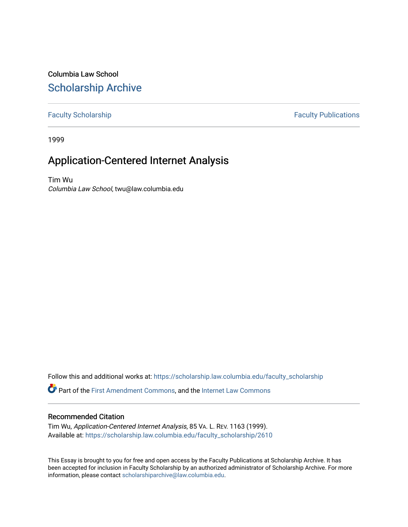Columbia Law School [Scholarship Archive](https://scholarship.law.columbia.edu/) 

[Faculty Scholarship](https://scholarship.law.columbia.edu/faculty_scholarship) **Faculty Publications** 

1999

# Application-Centered Internet Analysis

Tim Wu Columbia Law School, twu@law.columbia.edu

Follow this and additional works at: [https://scholarship.law.columbia.edu/faculty\\_scholarship](https://scholarship.law.columbia.edu/faculty_scholarship?utm_source=scholarship.law.columbia.edu%2Ffaculty_scholarship%2F2610&utm_medium=PDF&utm_campaign=PDFCoverPages)

Part of the [First Amendment Commons,](http://network.bepress.com/hgg/discipline/1115?utm_source=scholarship.law.columbia.edu%2Ffaculty_scholarship%2F2610&utm_medium=PDF&utm_campaign=PDFCoverPages) and the [Internet Law Commons](http://network.bepress.com/hgg/discipline/892?utm_source=scholarship.law.columbia.edu%2Ffaculty_scholarship%2F2610&utm_medium=PDF&utm_campaign=PDFCoverPages)

#### Recommended Citation

Tim Wu, Application-Centered Internet Analysis, 85 VA. L. REV. 1163 (1999). Available at: [https://scholarship.law.columbia.edu/faculty\\_scholarship/2610](https://scholarship.law.columbia.edu/faculty_scholarship/2610?utm_source=scholarship.law.columbia.edu%2Ffaculty_scholarship%2F2610&utm_medium=PDF&utm_campaign=PDFCoverPages)

This Essay is brought to you for free and open access by the Faculty Publications at Scholarship Archive. It has been accepted for inclusion in Faculty Scholarship by an authorized administrator of Scholarship Archive. For more information, please contact [scholarshiparchive@law.columbia.edu.](mailto:scholarshiparchive@law.columbia.edu)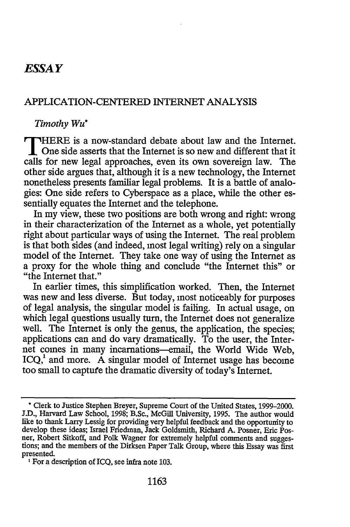# *ESSAY*

## APPLICATION-CENTERED INTERNET ANALYSIS

#### *Timothy Wu\**

**T** HERE is a now-standard debate about law and the Internet. One side asserts that the Internet is so new and different that it calls for new legal approaches, even its own sovereign law. The other side argues that, although it is a new technology, the Internet nonetheless presents familiar legal problems. It is a battle of analogies: One side refers to Cyberspace as a place, while the other essentially equates the Internet and the telephone.

In my view, these two positions are both wrong and right: wrong in their characterization of the Internet as a whole, yet potentially right about particular ways of using the Internet. The real problem is that both sides (and indeed, most legal writing) rely on a singular model of the Internet. They take one way of using the Internet as a proxy for the whole thing and conclude "the Internet this" or "the Internet that."

In earlier times, this simplification worked. Then, the Internet was new and less diverse. But today, most noticeably for purposes of legal analysis, the singular model is failing. In actual usage, on which legal questions usually turn, the Internet does not generalize well. The Internet is only the genus, the application, the species; applications can and do vary dramatically. To the user, the Internet comes in many incarnations-email, the World Wide Web, ICQ,' and more. A singular model of Internet usage has become too small to captufe the dramatic diversity of today's Internet.

**<sup>\*</sup>** Clerk to Justice Stephen Breyer, Supreme Court of the United States, 1999-2000. J.D., Harvard Law School, 1998; B.Sc., McGill University, 1995. The author would like to thank Larry Lessig for providing very helpful feedback and the opportunity to develop these ideas; Israel Friedman, Jack Goldsmith, Richard A. Posner, Eric Posner, Robert Sitkoff, and Polk Wagner for extremely helpful comments and sugges- tions; and the members of the Dirksen Paper Talk Group, where this Essay was first presented.

**I** For a description of ICQ, see infra note 103.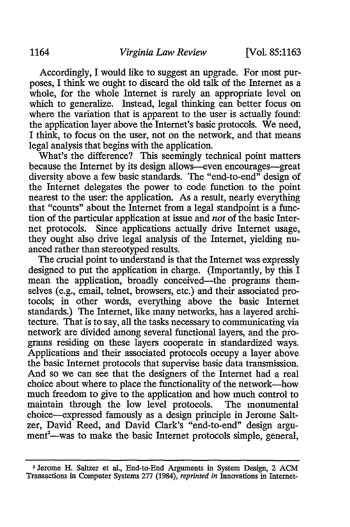Accordingly, I would like to suggest an upgrade. For most purposes, I think we ought to discard the old talk of the Internet as a whole, for the whole Internet is rarely an appropriate level on which to generalize. Instead, legal thinking can better focus on where the variation that is apparent to the user is actually found: the application layer above the Internet's basic protocols. We need, I think, to focus on the user, not on the network, and that means legal analysis that begins with the application.

What's the difference? This seemingly technical point matters because the Internet by its design allows-even encourages-great diversity above a few basic standards. The "end-to-end" design of the Internet delegates the power to code function to the point nearest to the user: the application. As a result, nearly everything that "counts" about the Internet from a legal standpoint is a function of the particular application at issue and *not* of the basic Internet protocols. Since applications actually drive Internet usage, they ought also drive legal analysis of the Internet, yielding nuanced rather than stereotyped results.

The crucial point to understand is that the Internet was expressly designed to put the application in charge. (Importantly, by this I mean the application, broadly conceived-the programs themselves (e.g., email, telnet, browsers, etc.) and their associated protocols; in other words, everything above the basic Internet standards.) The Internet, like many networks, has a layered architecture. That is to say, all the tasks necessary to communicating via network are divided among several functional layers, and the programs residing on these layers cooperate in standardized ways. Applications and their associated protocols occupy a layer above the basic Internet protocols that supervise basic data transmission. And so we can see that the designers of the Internet had a real choice about where to place the functionality of the network-how much freedom to give to the application and how much control to maintain through the low level protocols. The monumental choice-expressed famously as a design principle in Jerome Saltzer, David Reed, and David Clark's "end-to-end" design argument<sup>2</sup>—was to make the basic Internet protocols simple, general,

<sup>&</sup>lt;sup>2</sup> Jerome H. Saltzer et al., End-to-End Arguments in System Design, 2 ACM Transactions in Computer Systems 277 (1984), *reprinted in* Innovations in Internet-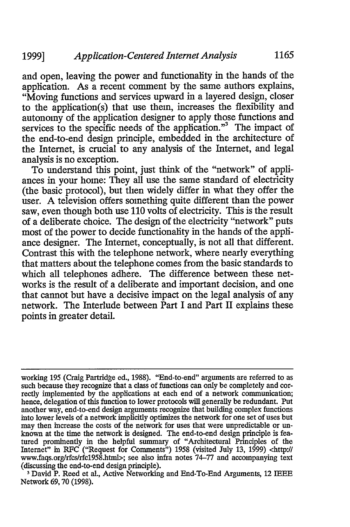and open, leaving the power and functionality in the hands of the application. As a recent comment by the same authors explains, "Moving functions and services upward in a layered design, closer to the application(s) that use them, increases the flexibility and autonomy of the application designer to apply those functions and services to the specific needs of the application."<sup>3</sup> The impact of the end-to-end design principle, embedded in the architecture of the Internet, is crucial to any analysis of the Internet, and legal analysis is no exception.

To understand this point, just think of the "network" of appliances in your home: They all use the same standard of electricity (the basic protocol), but then widely differ in what they offer the user. A television offers something quite different than the power saw, even though both use 110 volts of electricity. This is the result of a deliberate choice. The design of the electricity "network" puts most of the power to decide functionality in the hands of the appliance designer. The Internet, conceptually, is not all that different. Contrast this with the telephone network, where nearly everything that matters about the telephone comes from the basic standards to which all telephones adhere. The difference between these networks is the result of a deliberate and important decision, and one that cannot but have a decisive impact on the legal analysis of any network. The Interlude between Part I and Part II explains these points in greater detail.

<sup>3</sup> David P. Reed et al., Active Networking and End-To-End Arguments, 12 IEEE Network 69,70 (1998).

working 195 (Craig Partridge ed., 1988). "End-to-end" arguments are referred to as such because they recognize that a class of functions can only be completely and correctly implemented by the applications at each end of a network communication; hence, delegation of this function to lower protocols will generally be redundant. Put another way, end-to-end design arguments recognize that building complex functions into lower levels of a network implicitly optimizes the network for one set of uses but may then increase the costs of the network for uses that were unpredictable or unknown at the time the network is designed. The end-to-end design principle is featured prominently in the helpful summary of "Architectural Principles of the Internet" in RFC ("Request for Comments") 1958 (visited July 13, 1999) <http:// www.faqs.org/rfcs/rfc1958.html>; see also infra notes 74-77 and accompanying text (discussing the end-to-end design principle).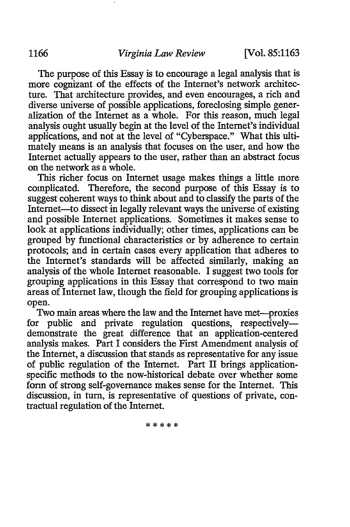The purpose of this Essay is to encourage a legal analysis that is more cognizant of the effects of the Internet's network architecture. That architecture provides, and even encourages, a rich and diverse universe of possible applications, foreclosing simple generalization of the Internet as a whole. For this reason, much legal analysis ought usually begin at the level of the Internet's individual applications, and not at the level of "Cyberspace." What this ultimately means is an analysis that focuses on the user, and how the Internet actually appears to the user, rather than an abstract focus on the network as a whole.

This richer focus on Internet usage makes things a little more complicated. Therefore, the second purpose of this Essay is to suggest coherent ways to think about and to classify the parts of the Internet—to dissect in legally relevant ways the universe of existing and possible Internet applications. Sometimes it makes sense to look at applications individually; other times, applications can be grouped by functional characteristics or by adherence to certain protocols; and in certain cases every application that adheres to the Internet's standards will be affected similarly, making an analysis of the whole Internet reasonable. I suggest two tools for grouping applications in this Essay that correspond to two main areas of Internet law, though the field for grouping applications is open.

Two main areas where the law and the Internet have met-proxies for public and private regulation questions, respectivelydemonstrate the great difference that an application-centered analysis makes. Part I considers the First Amendment analysis of the Internet, a discussion that stands as representative for any issue of public regulation of the Internet. Part II brings applicationspecific methods to the now-historical debate over whether some form of strong self-governance makes sense for the Internet. This discussion, in turn, is representative of questions of private, contractual regulation of the Internet.

\* \* \* \* \*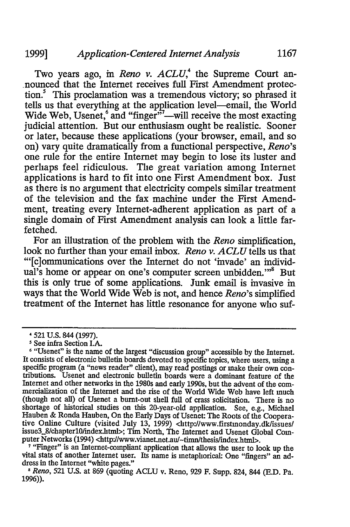Two years ago, in *Reno v. ACLU*,<sup>4</sup> the Supreme Court announced that the Internet receives full First Amendment protection.5 This proclamation was a tremendous victory; so phrased it tells us that everything at the application level-email, the World Wide Web, Usenet, $6$  and "finger" $7 -$ will receive the most exacting judicial attention. But our enthusiasm ought be realistic. Sooner or later, because these applications (your browser, email, and so on) vary quite dramatically from a functional perspective, *Reno's* one rule for the entire Internet may begin to lose its luster and perhaps feel ridiculous. The great variation among Internet applications is hard to fit into one First Amendment box. Just as there is no argument that electricity compels similar treatment of the television and the fax machine under the First Amendment, treating every Internet-adherent application as part of a single domain of First Amendment analysis can look a little farfetched.

For an illustration of the problem with the *Reno* simplification, look no further than your email inbox. *Reno v. ACLU* tells us that "'[c]ommunications over the Internet do not 'invade' an individual's home or appear on one's computer screen unbidden."<sup>8</sup> But this is only true of some applications. Junk email is invasive in ways that the World Wide Web is not, and hence *Reno's* simplified treatment of the Internet has little resonance for anyone who suf-

<sup>521</sup> U.S. 844 (1997).

See infra Section I.A.

**<sup>6</sup>** "Usenet" is the name of the largest "discussion group" accessible by the Internet. It consists of electronic bulletin boards devoted to specific topics, where users, using a specific program (a "news reader" client), may read postings or make their own contributions. Usenet and electronic bulletin boards were a dominant feature of the Internet and other networks in the 1980s and early 1990s, but the advent of the commercialization of the Internet and the rise of the World Wide Web have left much (though not all) of Usenet a burnt-out shell full of crass solicitation. There is no shortage of historical studies on this 20-year-old application. See, e.g., Michael Hauben & Ronda Hauben, On the Early Days of Usenet: The Roots of the Cooperative Online Culture (visited July 13, 1999) <http://www.firstmonday.dk/issues/ issue3\_8/chapterlO/index.html>; Tim North, The Internet and Usenet Global Computer Networks (1994) <http://www.vianet.net.au/~timn/thesis/index.html>.<br>**7** "Finger" is an Internet-compliant application that allows the user to look up the

<sup>&</sup>lt;sup>7</sup> "Finger" is an Internet-compliant application that allows the user to look up the vital stats of another Internet user. Its name is metaphorical: One "fingers" an address in the Internet "white pages."

*<sup>8</sup> Reno,* 521 U.S. at 869 (quoting ACLU v. Reno, 929 F. Supp. 824, 844 (E.D. Pa. 1996)).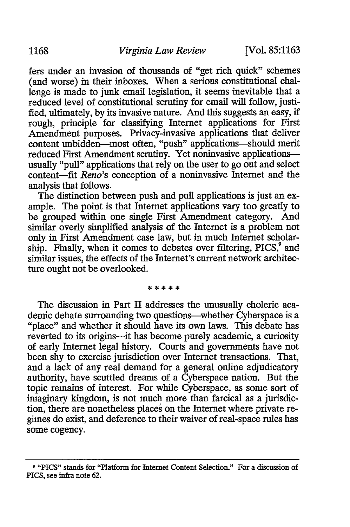fers under an invasion of thousands of "get rich quick" schemes (and worse) in their inboxes. When a serious constitutional challenge is made to junk email legislation, it seems inevitable that a reduced level of constitutional scrutiny for email will follow, justified, ultimately, by its invasive nature. And this suggests an easy, if rough, principle for classifying Internet applications for First Amendment purposes. Privacy-invasive applications that deliver content unbidden-most often, "push" applications-should merit reduced First Amendment scrutiny. Yet noninvasive applicationsusually "pull" applications that rely on the user to go out and select content-fit *Reno's* conception of a noninvasive Internet and the analysis that follows.

The distinction between push and pull applications is just an example. The point is that Internet applications vary too greatly to be grouped within one single First Amendment category. And similar overly simplified analysis of the Internet is a problem not only in First Amendment case law, but in much Internet scholarship. Finally, when it comes to debates over filtering, PICS,<sup>9</sup> and similar issues, the effects of the Internet's current network architecture ought not be overlooked.

#### \* \* \* \* \*

The discussion in Part II addresses the unusually choleric academic debate surrounding two questions—whether Cyberspace is a "place" and whether it should have its own laws. This debate has reverted to its origins---it has become purely academic, a curiosity of early Internet legal history. Courts and governments have not been shy to exercise jurisdiction over Internet transactions. That, and a lack of any real demand for a general online adjudicatory authority, have scuttled dreams of a Cyberspace nation. But the topic remains of interest. For while Cyberspace, as some sort of imaginary kingdom, is not much more than farcical as a jurisdiction, there are nonetheless places on the Internet where private regimes do exist, and deference to their waiver of real-space rules has some cogency.

**<sup>9</sup>** "PICS" stands for "Platform for Internet Content Selection." For a discussion of PICS, see infra note 62.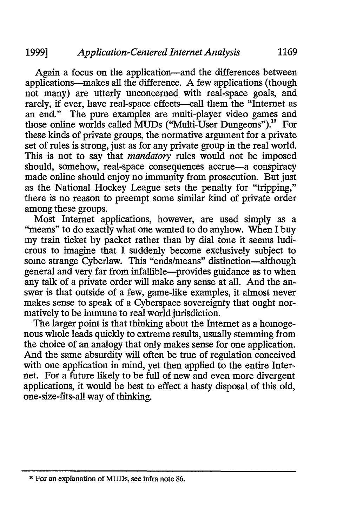Again a focus on the application-and the differences between applications-makes all the difference. A few applications (though not many) are utterly unconcerned with real-space goals, and rarely, if ever, have real-space effects-call them the "Internet as an end." The pure examples are multi-player video games and those online worlds called MUDs ("Multi-User Dungeons").<sup>10</sup> For these kinds of private groups, the normative argument for a private set of rules is strong, just as for any private group in the real world. This is not to say that *mandatory* rules would not be imposed should, somehow, real-space consequences accrue-a conspiracy made online should enjoy no immunity from prosecution. But just as the National Hockey League sets the penalty for "tripping," there is no reason to preempt some similar kind of private order among these groups.

Most Internet applications, however, are used simply as a "means" to do exactly what one wanted to do anyhow. When I buy my train ticket by packet rather than by dial tone it seems ludicrous to imagine that I suddenly become exclusively subject to some strange Cyberlaw. This "ends/means" distinction-although general and very far from infallible-provides guidance as to when any talk of a private order will make any sense at all. And the answer is that outside of a few, game-like examples, it almost never makes sense to speak of a Cyberspace sovereignty that ought normatively to be immune to real world jurisdiction.

The larger point is that thinking about the Internet as a homogenous whole leads quickly to extreme results, usually stemming from the choice of an analogy that only makes sense for one application. And the same absurdity will often be true of regulation conceived with one application in mind, yet then applied to the entire Internet. For a future likely to be full of new and even more divergent applications, it would be best to effect a hasty disposal of this old, one-size-fits-all way of thinking.

**<sup>10</sup> For** an explanation of MUDs, see infra note **86.**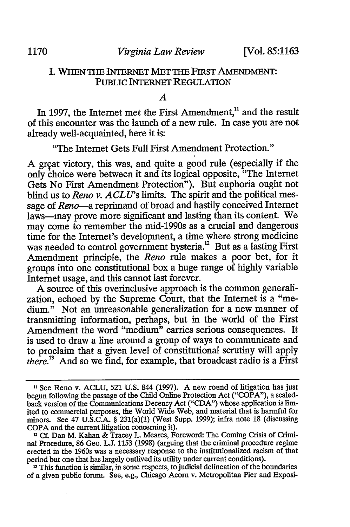## I. WHEN THE INTERNET MET THE FIRST AMENDMENT: PUBLIC INTERNET REGULATION

*A*

In 1997, the Internet met the First Amendment,<sup>11</sup> and the result of this encounter was the launch of a new rule. In case you are not already well-acquainted, here it is:

"The Internet Gets Full First Amendment Protection."

A great victory, this was, and quite a good rule (especially if the only choice were between it and its logical opposite, "The Internet Gets No First Amendment Protection"). But euphoria ought not blind us to *Reno v. ACLU*'s limits. The spirit and the political message of *Reno-a* reprimand of broad and hastily conceived Internet laws- may prove more significant and lasting than its content. We may come to remember the mid-1990s as a crucial and dangerous time for the Internet's development, a time where strong medicine was needed to control government hysteria.<sup>12</sup> But as a lasting First Amendment principle, the *Reno* rule makes a poor bet, for it groups into one constitutional box a huge range of highly variable Internet usage, and this cannot last forever.

A source of this overinclusive approach is the common generalization, echoed by the Supreme Court, that the Internet is a "medium." Not an unreasonable generalization for a new manner of transmitting information, perhaps, but in the world of the First Amendment the word "medium" carries serious consequences. It is used to draw a line around a group of ways to communicate and to proclaim that a given level of constitutional scrutiny will apply *there."* And so we find, for example, that broadcast radio is a First

n See Reno v. ACLU, 521 U.S. 844 (1997). A new round of litigation has just begun following the passage of the Child Online Protection Act ("COPA"), a scaledback version of the Communications Decency Act ("CDA") whose application is limited to commercial purposes, the World Wide Web, and material that is harmful for minors. See 47 U.S.C.A. § 231(a)(1) (West Supp. 1999); infra note 18 (discussing COPA and the current litigation concerning it).

<sup>&</sup>lt;sup>12</sup> Cf. Dan M. Kahan & Tracey L. Meares, Foreword: The Coming Crisis of Criminal Procedure, 86 Geo. **L.J.** 1153 (1998) (arguing that the criminal procedure regime erected in the 1960s was a necessary response to the institutionalized racism of that period but one that has largely outlived its utility under current conditions).

<sup>&</sup>lt;sup>13</sup> This function is similar, in some respects, to judicial delineation of the boundaries of a given public forum. See, e.g., Chicago Acorn v. Metropolitan Pier and Exposi-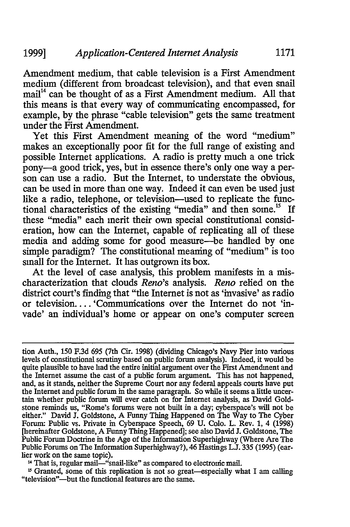Amendment medium, that cable television is a First Amendment medium (different from broadcast television), and that even snail mail<sup>14</sup> can be thought of as a First Amendment medium. All that this means is that every way of communicating encompassed, for example, **by** the phrase "cable television" gets the same treatment under the First Amendment.

Yet this First Amendment meaning of the word "medium" makes an exceptionally poor fit for the **full** range of existing and possible Internet applications. **A** radio is pretty much a one trick pony-a good trick, yes, but in essence there's only one way a person can use a radio. But the Internet, to understate the obvious, can be used in more than one way. Indeed it can even be used just like a radio, telephone, or television-used to replicate the functional characteristics of the existing "media" and then some.'5 If these "media" each merit their own special constitutional consideration, how can the Internet, capable of replicating all of these media and adding some for good measure-be handled **by** one simple paradigm? The constitutional meaning of "medium" is too small for the Internet. It has outgrown its box.

At the level of case analysis, this problem manifests in a mischaracterization that clouds *Reno's* analysis. *Reno* relied on the district court's finding that "the Internet is not as 'invasive' as radio or television.... 'Communications over the Internet do not 'invade' an individual's home or appear on one's computer screen

**tion** Auth., 150 F.3d 695 (7th Cir. 1998) (dividing Chicago's Navy Pier into various levels of constitutional scrutiny based on public forum analysis). Indeed, it would be quite plausible to have had the entire initial argument over the First Amendment and the Internet assume the cast of a public forum argument. This has not happened, and, as it stands, neither the Supreme Court nor any federal appeals courts have put the Internet and public forum in the same paragraph. So while it seems a little uncertain whether public forum will ever catch on for Internet analysis, as David Goldstone reminds us, "Rome's forums were not built in a day; cyberspace's will not be either." David J. Goldstone, A Funny Thing Happened on The Way to The Cyber Forum: Public vs. Private in Cyberspace Speech, 69 U. Colo. L. Rev. 1, 4 (1998) [hereinafter Goldstone, A Funny Thing Happened]; see also David J. Goldstone, The Public Forum Doctrine in the Age of the Information Superhighway (Where Are The Public Forums on The Information Superhighway?), 46 Hastings **LJ.** 335 (1995) (earlier work on the same topic).

<sup>&</sup>lt;sup>14</sup> That is, regular mail-"snail-like" as compared to electronic mail.

**<sup>15</sup>** Granted, some of this replication is not so great-especially what I am calling "television"-but the functional features are the same.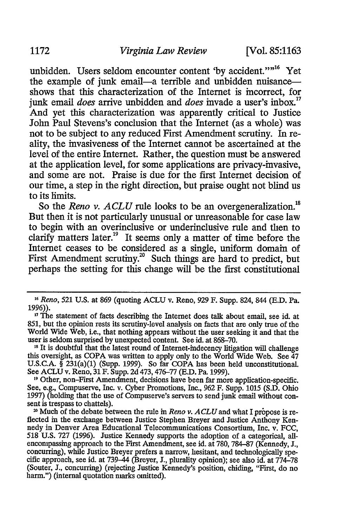unbidden. Users seldom encounter content 'by accident.""<sup>16</sup> Yet the example of junk email—a terrible and unbidden nuisance shows that this characterization of the Internet is incorrect, for junk email *does* arrive unbidden and *does* invade a user's inbox.<sup>17</sup> And yet this characterization was apparently critical to Justice John Paul Stevens's conclusion that the Internet (as a whole) was not to be subject to any reduced First Amendment scrutiny. In reality, the invasiveness of the Internet cannot be ascertained at the level of the entire Internet. Rather, the question must be answered at the application level, for some applications are privacy-invasive, and some are not. Praise is due for the first Internet decision of our time, a step in the right direction, but praise ought not blind us to its limits.

So the *Reno v. ACLU* rule looks to be an overgeneralization.<sup>18</sup> But then it is not particularly unusual or unreasonable for case law to begin with an overinclusive or underinclusive rule and then to clarify matters later.<sup>19</sup> It seems only a matter of time before the Internet ceases to be considered as a single, uniform domain of First Amendment scrutiny.<sup>20</sup> Such things are hard to predict, but perhaps the setting for this change will be the first constitutional

<sup>18</sup> It is doubtful that the latest round of Internet-indecency litigation will challenge this oversight, as COPA was written to apply only to the World Wide Web. See 47 U.S.C.A. § 231(a)(1) (Supp. 1999). So far COPA has been held unconstitutional. See ACLU v. Reno, 31 F. Supp. 2d 473,476-77 (E.D. Pa. 1999).

**19** Other, non-First Amendment, decisions have been far more application-specific. See, e.g., Compuserve, Inc. v. Cyber Promotions, Inc., 962 F. Supp. 1015 (S.D. Ohio 1997) (holding that the use of Compuserve's servers to send junk email without consent is trespass to chattels).

<sup>20</sup> Much of the debate between the rule in *Reno v. ACLU* and what I propose is reflected in the exchange between Justice Stephen Breyer and Justice Anthony Kennedy in Denver Area Educational Telecommunications Consortium, Inc. v. FCC, 518 U.S. 727 (1996). Justice Kennedy supports the adoption of a categorical, allencompassing approach to the First Amendment, see id. at 780, 784-87 (Kennedy, J., concurring), while Justice Breyer prefers a narrow, hesitant, and technologically specific approach, see id. at 739–44 (Breyer, J., plurality opinion); see also id. at  $774-78$ (Souter, J., concurring) (rejecting Justice Kennedy's position, chiding, "First, do no harm.") (internal quotation marks omitted).

*<sup>16</sup> Reno,* 521 U.S. at 869 (quoting ACLU v. Reno, 929 F. Supp. 824, 844 (E.D. Pa. 1996)).

<sup>&</sup>lt;sup>17</sup> The statement of facts describing the Internet does talk about email, see id. at 851, but the opinion rests its scrutiny-level analysis on facts that are only true of the World Wide Web, i.e., that nothing appears without the user seeking it and that the user is seldom surprised by unexpected content. See id. at 868-70.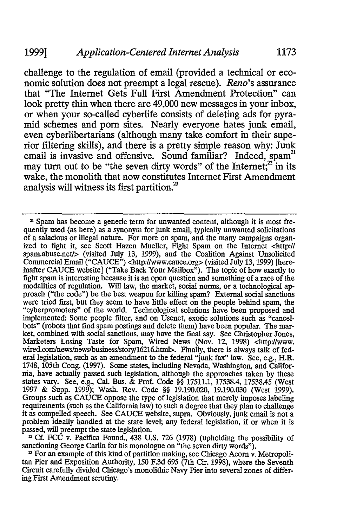challenge to the regulation of email (provided a technical or economic solution does not preempt a legal rescue). *Reno's* assurance that "The Internet Gets Full First Amendment Protection" can look pretty thin when there are 49,000 new messages in your inbox, or when your so-called cyberlife consists of deleting ads for pyramid schemes and porn sites. Nearly everyone hates junk email, even cyberlibertarians (although many take comfort in their superior filtering skills), and there is a pretty simple reason why: Junk email is invasive and offensive. Sound familiar? Indeed, spam<sup>21</sup> may turn out to be "the seven dirty words" of the Internet; $^{22}$  in its wake, the monolith that now constitutes Internet First Amendment analysis will witness its first partition.<sup>23</sup>

 $2^{\circ}$  Cf. FCC v. Pacifica Found., 438 U.S. 726 (1978) (upholding the possibility of sanctioning George Carlin for his monologue on "the seven dirty words").

<sup>23</sup> For an example of this kind of partition making, see Chicago Acorn v. Metropolitan Pier and Exposition Authority, 150 F.3d 695 (7th Cir. 1998), where the Seventh Circuit carefully divided Chicago's monolithic Navy Pier into several zones of differing First Amendment scrutiny.

<sup>&</sup>lt;sup>21</sup> Spam has become a generic term for unwanted content, although it is most frequently used (as here) as a synonym for junk email, typically unwanted solicitations of a salacious or illegal nature. For more on spare, and the many campaigns organized to fight it, see Scott Hazen Mueller, Fight Spam on the Internet <http:// spam.abuse.netl> (visited July 13, 1999), and the Coalition Against Unsolicited Commercial Email ("CAUCE") <http://www.cauce.org> (visited July 13, 1999) [hereinafter CAUCE website] ("Take Back Your Mailbox"). The topic of how exactly to fight spam is interesting because it is an open question and something of a race of the modalities of regulation. Will law, the market, social norms, or a technological approach ("the code") be the best weapon for killing spam? External social sanctions were tried first, but they seem to have little effect on the people behind spam, the "cyberpromoters" of the world. Technological solutions have been proposed and implemented: Some people filter, and on Usenet, exotic solutions such as "cancelbots" (robots that find spam postings and delete them) have been popular. The market, combined with social sanctions, may have the final say. See Christopher Jones, Marketers Losing Taste for Spam, Wired News (Nov. 12, 1998) <http://www. wired.com/news/newsbusiness/story/16216.html>. Finally, there is always talk of federal legislation, such as an amendment to the federal "junk fax" law. See, e.g., H.R. 1748, 105th Cong. (1997). Some states, including Nevada, Washington, and California, have actually passed such legislation, although the approaches taken by these states vary. See, e.g., Cal. Bus. & Prof. Code §§ 17511.1, 17538.4, 17538.45 (West 1997 & Supp. 1999); Wash. Rev. Code §§ 19.190.020, 19.190.030 (West 1999). Groups such as CAUCE oppose the type of legislation that merely imposes labeling requirements (such as the California law) to such a degree that they plan to challenge it as compelled speech. See CAUCE website, supra. Obviously, junk email is not a problem ideally handled at the state level; any federal legislation, if or when it is passed, will preempt the state legislation.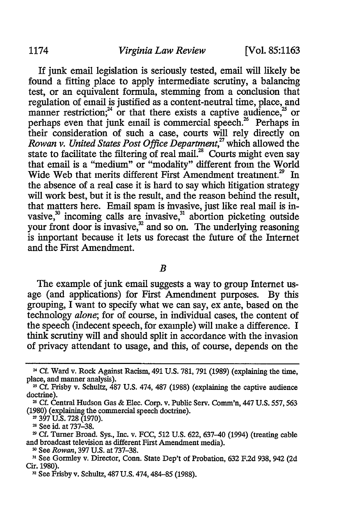If junk email legislation is seriously tested, email will likely be found a fitting place to apply intermediate scrutiny, a balancing test, or an equivalent formula, stemming from a conclusion that regulation of email is justified as a content-neutral time, place, and manner restriction;<sup>24</sup> or that there exists a captive audience,<sup>25</sup> or perhaps even that junk email is commercial speech.<sup>26</sup> Perhaps in their consideration of such a case, courts will rely directly on *Rowan v. United States Post Office Department*,<sup>27</sup> which allowed the state to facilitate the filtering of real mail. $28$  Courts might even say that email is a "medium" or "modality" different from the World Wide Web that merits different First Amendment treatment.<sup>29</sup> In the absence of a real case it is hard to say which litigation strategy will work best, but it is the result, and the reason behind the result, that matters here. Email spam is invasive, just like real mail is invasive, $3^{\circ}$  incoming calls are invasive, $3^{\circ}$  abortion picketing outside your front door is invasive,<sup>32</sup> and so on. The underlying reasoning is important because it lets us forecast the future of the Internet and the First Amendment.

*B*

The example of junk email suggests a way to group Internet usage (and applications) for First Amendment purposes. By this grouping, I want to specify what we can say, ex ante, based on the technology *alone;* for of course, in individual cases, the content of the speech (indecent speech, for example) will make a difference. I think scrutiny will and should split in accordance with the invasion of privacy attendant to usage, and this, of course, depends on the

*<sup>14</sup>* Cf. Ward v. Rock Against Racism, 491 U.S. 781, 791 (1989) (explaining the time, place, and manner analysis).

 $25$  Cf. Frisby v. Schultz, 487 U.S. 474, 487 (1988) (explaining the captive audience doctrine).

<sup>2</sup>*CL* Central Hudson Gas & Elec. Corp. v. Public Serv. Conm'n, 447 U.S. 557,563 (1980) (explaining the commercial speech doctrine).

*z'* 397 U.S. 728 (1970).

<sup>28</sup> See id. at 737-38.

<sup>&</sup>lt;sup>29</sup> Cf. Turner Broad. Sys., Inc. v. FCC, 512 U.S. 622, 637-40 (1994) (treating cable and broadcast television as different First Amendment media).

**<sup>30</sup>** See *Rowan,* 397 U.S. at 737-38.

**<sup>31</sup>**See Gormley v. Director, Conn. State Dep't of Probation, 632 F.2d 938, 942 (2d Cir. **1980).**

**<sup>&</sup>quot;I** See Frisby v. Schultz, 487 U.S. 474,484-85 (1988).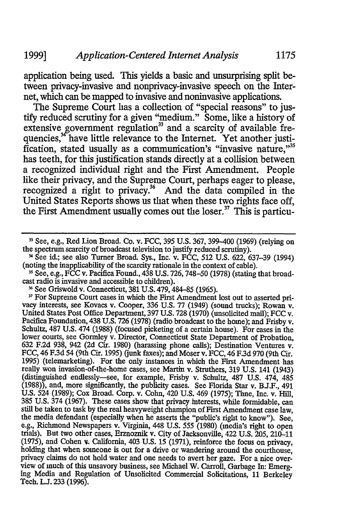application being used. This yields a basic and unsurprising split between privacy-invasive and nonprivacy-invasive speech on the Internet, which can be mapped to invasive and noninvasive applications.

The Supreme Court has a collection of "special reasons" to justify reduced scrutiny for a given "medium." Some, like a history of extensive government regulation<sup>33</sup> and a scarcity of available frequencies,<sup>34</sup> have little relevance to the Internet. Yet another justification, stated usually as a communication's "invasive nature,"<sup>35</sup> has teeth, for this justification stands directly at a collision between a recognized individual right and the First Amendment. People like their privacy, and the Supreme Court, perhaps eager to please, recognized a right to privacy.<sup>36</sup> And the data compiled in the United States Reports shows us that when these two rights face off, the First Amendment usually comes out the loser. $37$  This is particu-

<sup>&</sup>quot;See, e.g., Red Lion Broad. Co. v. FCC, 395 U.S. 367, 399-400 (1969) (relying on the spectrum scarcity of broadcast television to justify reduced scrutiny).

<sup>&</sup>quot;See id.; see also Turner Broad. Sys., Inc. v. FCC, 512 U.S. 622, 637-39 (1994) (noting the inapplicability of the scarcity rationale in the context of cable).

<sup>&</sup>lt;sup>35</sup> See, e.g., FCC v. Pacifica Found.,  $4\overline{3}8$  U.S. 726, 748-50 (1978) (stating that broadcast radio is invasive and accessible to children).

<sup>&</sup>lt;sup>36</sup> See Griswold v. Connecticut, 381 U.S. 479, 484-85 (1965).

<sup>&</sup>lt;sup>37</sup> For Supreme Court cases in which the First Amendment lost out to asserted privacy interests, see Kovacs v. Cooper, 336 U.S. 77 (1949) (sound trucks); Rowan v. United States Post Office Department, 397 U.S. 728 (1970) (unsolicited mail); FCC v. Pacifica Foundation, 438 U.S. 726 (1978) (radio broadcast to the home); and Frisby v. Schultz, 487 U.S. 474 (1988) (focused picketing of a certain house). For cases in the lower courts, see Gormley v. Director, Connecticut State Department of Probation, 632 F.2d 938, 942 (2d Cir. 1980) (harassing phone calls); Destination Ventures v. FCC, 46 F.3d 54 (9th Cir. 1995) (junk faxes); and Moser v. FCC, 46 F.3d 970 (9th Cir. 1995) (telemarketing). For the only instances in which the First Amendment has really won invasion-of-the-home cases, see Martin v. Struthers, 319 U.S. 141 (1943) (distinguished endlessly-see, for example, Frisby v. Schultz, 487 U.S. 474, 485 (1988)), and, more significantly, the publicity cases. See Florida Star v. BJ.F., 491 U.S. 524 (1989); Cox Broad. Corp. v. Cohn, 420 U.S. 469 (1975); Time, Inc. v. Hill, 385 U.S. 374 (1967). These cases show that privacy interests, while formidable, can still be taken to task by the real heavyweight champion of First Amendment case law, the media defendant (especially when he asserts the "public's right to know"). See, e.g., Richmond Newspapers v. Virginia, 448 U.S. 555 (1980) (media's right to open trials). But two other cases, Erznoznik v. City of Jacksonville, 422 U.S. 205, 210-11 (1975), and Cohen **Y.** California, 403 U.S. 15 (1971), reinforce the focus on privacy, holding that when someone is out for a drive or wandering around the courthouse, privacy claims do not hold water and one needs to avert her gaze. For a nice overview of much of this unsavory business, see Michael W. Carroll, Garbage In: Emerg- ing Media and Regulation of Unsolicited Commercial Solicitations, 11 Berkeley Tech. **LJ.** 233 (1996).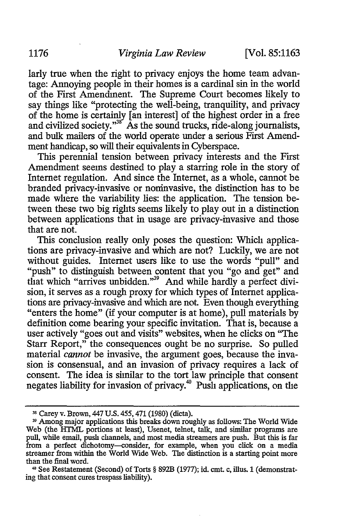larly true when the right to privacy enjoys the home team advantage: Annoying people in their homes is a cardinal sin in the world of the First Amendment. The Supreme Court becomes likely to say things like "protecting the well-being, tranquility, and privacy of the home is certainly [an interest] of the highest order in a free and civilized society."<sup>38</sup> As the sound trucks, ride-along journalists, and bulk mailers of the world operate under a serious First Amendment handicap, so will their equivalents in Cyberspace.

This perennial tension between privacy interests and the First Amendment seems destined to play a starring role in the story of Internet regulation. And since the Internet, as a whole, cannot be branded privacy-invasive or noninvasive, the distinction has to be made where the variability lies: the application. The tension between these two big rights seems likely to play out in a distinction between applications that in usage are privacy-invasive and those that are not.

This conclusion really only poses the question: Which applications are privacy-invasive and which are not? Luckily, we are not without guides. Internet users like to use the words "pull" and "push" to distinguish between content that you "go and get" and that which "arrives unbidden."<sup>39</sup> And while hardly a perfect division, it serves as a rough proxy for which types of Internet applications are privacy-myasive and which are not. Even though everything "enters the home" (if your computer is at home), pull materials by definition come bearing your specific invitation. That is, because a user actively "goes out and visits" websites, when he clicks on "The Starr Report," the consequences ought be no surprise. So pulled material *cannot* be invasive, the argument goes, because the invasion is consensual, and an invasion of privacy requires a lack of consent. The idea is similar to the tort law principle that consent negates liability for invasion of privacy.<sup>40</sup> Push applications, on the

**<sup>33</sup>** Carey v. Brown, 447 U.S. 455, 471 (1980) (dicta).

**<sup>39</sup>** Among major applications this breaks down roughly as follows: The World Wide Web (the HTML portions at least), Usenet, telnet, talk, and similar programs are pull, while email, push channels, and most media streamers are push. But this is far from a perfect dichotomy-consider, for example, when you click on a media streamer from within the World Wide Web. The distinction is a starting point more than the final word.

See Restatement (Second) of Torts § 892B (1977); id. cmt. c, illus. 1 (demonstrating that consent cures trespass liability).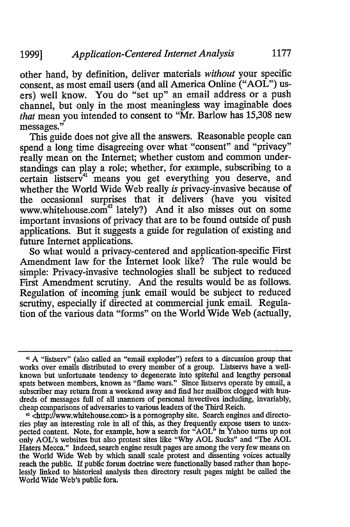other hand, by definition, deliver materials *without* your specific consent, as most email users (and all America Online ("AOL") users) well know. You do "set up" an email address or a push channel, but only in the most meaningless way imaginable does *that* mean you intended to consent to "Mr. Barlow has 15,308 new messages."

This guide does not give all the answers. Reasonable people can spend a long time disagreeing over what "consent" and "privacy" really mean on the Internet; whether custom and common understandings can play a role; whether, for example, subscribing to a certain listserv<sup>41</sup> means you get everything you deserve, and whether the World Wide Web really *is* privacy-invasive because of the occasional surprises that it delivers (have you visited www.whitehouse.com<sup>42</sup> lately?) And it also misses out on some important invasions of privacy that are to be found outside of push applications. But it suggests a guide for regulation of existing and future Internet applications.

So what would a privacy-centered and application-specific First Amendment law for the Internet look like? The rule would be simple: Privacy-invasive technologies shall be subject to reduced First Amendment scrutiny. And the results would be as follows. Regulation of incoming junk email would be subject to reduced scrutiny, especially if directed at commercial junk email. Regulation of the various data "forms" on the World Wide Web (actually,

**<sup>41</sup>** A "listserv" (also called an "email exploder") refers to a discussion group that works over emails distributed to every member of a group. Listservs have a wellknown but unfortunate tendency to degenerate into spiteful and lengthy personal spats between members, known as "flame wars." Since listservs operate by email, a subscriber may return from a weekend away and find her mailbox clogged with hundreds of messages full of all manners of personal invectives including, invariably, cheap comparisons of adversaries to various leaders of the Third Reich.

**<sup>42</sup>** <http://www.whitehouse.com> is a pornography site. Search engines and directories play an interesting role in all of this, as they frequently expose users to unexpected content. Note, for example, how a search for "AOL" in Yahoo turns up not only AOL's websites but also protest sites like "Why AOL Sucks" and "The AOL Haters Mecca." Indeed, search engine result pages are among the very few means on the World Wide Web by which small scale protest and dissenting voices actually reach the public. If public forum doctrine were functionally based rather than hopelessly linked to historical analysis then directory result pages might be called the World Wide Web's public fora.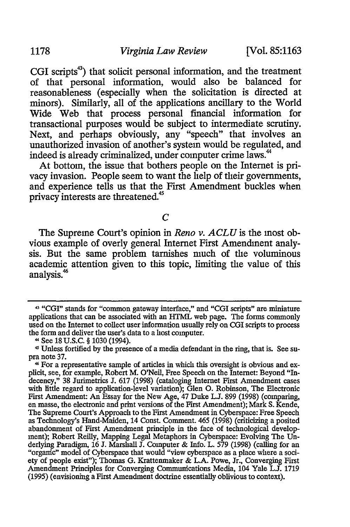CGI scripts<sup>43</sup>) that solicit personal information, and the treatment of that personal information, would also be balanced for reasonableness (especially when the solicitation is directed at minors). Similarly, all of the applications ancillary to the World Wide Web that process personal financial information for transactional purposes would be subject to intermediate scrutiny. Next, and perhaps obviously, any "speech" that involves an unauthorized invasion of another's system would be regulated, and indeed is already criminalized, under computer crime laws."

At bottom, the issue that bothers people on the Internet is privacy invasion. People seem to want the help of their governments, and experience tells us that the First Amendment buckles when privacy interests are threatened.<sup>45</sup>

*C*

The Supreme Court's opinion in *Reno v. ACLU* is the most obvious example of overly general Internet First Amendment analysis. But the same problem tarnishes much of the voluminous academic attention given to this topic, limiting the value of this analysis.<sup>46</sup>

<sup>43</sup>**"CGI"** stands for "common gateway interface," and "CGI scripts" are miniature applications that can be associated with an HTML web page. The forms commonly used on the Internet to collect user information usually rely on CGI scripts to process the form and deliver the user's data to a host computer.

<sup>4</sup>See 18 U.S.C. § 1030 (1994).

<sup>4</sup>Unless fortified by the presence of a media defendant in the ring, that is. See supra note 37.

<sup>&</sup>quot;For a representative sample of articles in which this oversight is obvious and explicit, see, for example, Robert M. O'Neil, Free Speech on the Internet: Beyond "Indecency," 38 Jurimetrics J. 617 (1998) (cataloging Internet First Amendment cases with little regard to application-level variation); Glen **0.** Robinson, The Electronic First Amendment: An Essay for the New Age, 47 Duke **LJ.** 899 (1998) (comparing, en masse, the electronic and print versions of the First Amendment); Mark S. Kende, The Supreme Court's Approach to the First Amendment in Cyberspace: Free Speech as Technology's Hand-Maiden, 14 Const. Comment. 465 (1998) (criticizing a posited abandonment of First Amendment principle in the face of technological development); Robert Reilly, Mapping Legal Metaphors in Cyberspace: Evolving The Underlying Paradigm, 16 J. Marshall J. Computer & Info. L. 579 (1998) (calling for an "organic" model of Cyberspace that would "view cyberspace as a place where a society of people exist"); Thomas G. Krattenmaker & L.A. Powe, Jr., Converging First Amendment Principles for Converging Communications Media, 104 Yale **LJ.** 1719 (1995) (envisioning a First Amendment doctrine essentially oblivious to context).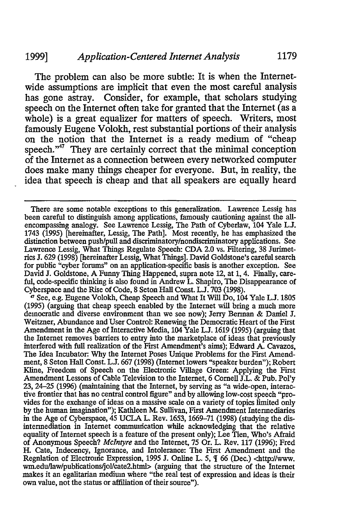The problem can also be more subtle: It is when the Internetwide assumptions are implicit that even the most careful analysis has gone astray. Consider, for example, that scholars studying speech on the Internet often take for granted that the Internet (as a whole) is a great equalizer for matters of speech. Writers, most famously Eugene Volokh, rest substantial portions of their analysis on the notion that the Internet is a ready medium of "cheap speech."<sup>47</sup> They are certainly correct that the minimal conception of the Internet as a connection between every networked computer does make many things cheaper for everyone. But, in reality, the idea that speech is cheap and that all speakers are equally heard

<sup>47</sup>See, e.g. Eugene Volokh, Cheap Speech and What It Will Do, 104 Yale **LJ.** 1805 (1995) (arguing that cheap speech enabled by the Internet will bring a much more democratic and diverse environment than we see now); Jerry Berman & Daniel **J.** Weitzner, Abundance and User Control: Renewing the Democratic Heart of the First Amendment in the Age of Interactive Media, 104 Yale L.J. 1619 (1995) (arguing that the Internet removes barriers to entry into the marketplace of ideas that previously interfered with full realization of the First Amendment's aims); Edward A. Cavazos, The Idea Incubator: Why the Internet Poses Unique Problems for the First Amendment, 8 Seton Hall Const. **LJ.** 667 (1998) (Internet lowers "speaker burden"); Robert Kline, Freedom of Speech on the Electronic Village Green: Applying the First Amendment Lessons of Cable Television to the Internet, 6 Cornell J.L. & Pub. Pol'y 23, 24-25 (1996) (maintaining that the Internet, by serving as "a wide-open, interactive frontier that has no central control figure" and by allowing low-cost speech "provides for the exchange of ideas on a massive scale on a variety of topics limited only by the human imagination"); Kathleen M. Sullivan, First Amendment Intermediaries in the Age of Cyberspace, 45 UCLA L. Rev. 1653, 1669-71 (1998) (studying the disintermediation in Internet communication while acknowledging that the relative equality of Internet speech is a feature of the present only); Lee Tien, Who's Afraid of Anonymous Speech? *McIntyre* and the Internet, 75 Or. L. Rev. 117 (1996); Fred H. Cate, Indecency, Ignorance, and Intolerance: The First Amendment and the Regnlation of Electronic Expression, 1995 J. Online L. 5,  $\P$  66 (Dec.) <http://www. wm.edu/law/publications/jol/cate2.html> (arguing that the structure of the Internet makes it an egalitarian medium where "the real test of expression and ideas is their own value, not the status or affiliation of their source").

There are some notable exceptions to this generalization. Lawrence Lessig has been careful to distinguish among applications, famously cautioning against the allencompassing analogy. See Lawrence Lessig, The Path of Cyberlaw, 104 Yale **L..** 1743 (1995) [hereinafter, Lessig, The Path]. Most recently, he has emphasized the distinction between push/pull and discriminatory/nondiscriminatory applications. See Lawrence Lessig, What Things Regulate Speech: CDA 2.0 vs. Filtering, 38 Jurimetrics J. 629 (1998) [hereinafter Lessig, What Things]. David Goldstone's careful search for public "cyber forums" on an application-specific basis is another exception. See David J. Goldstone, A Funny Thing Happened, supra note 12, at **1,** 4. Finally, careful, code-specific thinking is also found in Andrew L. Shapiro, The Disappearance of Cyberspace and the Rise of Code, 8 Seton Hall Const. L.J. 703 (1998).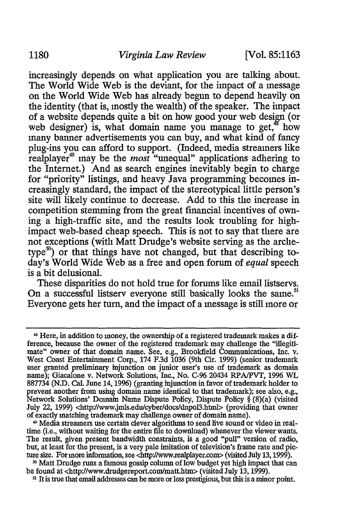increasingly depends on what application you are talking about. The World Wide Web is the deviant, for the impact of a message on the World Wide Web has already begun to depend heavily on the identity (that is, mostly the wealth) of the speaker. The impact of a website depends quite a bit on how good your web design (or web designer) is, what domain name you manage to get, $\frac{48}{3}$  how many banner advertisements you can buy, and what kind of fancy plug-ins you can afford to support. (Indeed, media streamers like realplayer<sup>49</sup> may be the *most* "unequal" applications adhering to the Internet.) And as search engines inevitably begin to charge for "priority" listings, and heavy Java programming becomes increasingly standard, the impact of the stereotypical little person's site will likely continue to decrease. Add to this the increase in competition stemming from the great financial incentives of owning a high-traffic site, and the results look troubling for highimpact web-based cheap speech. This is not to say that there are not exceptions (with Matt Drudge's website serving as the archetype<sup>50</sup>) or that things have not changed, but that describing today's World Wide Web as a free and open forum of *equal* speech is a bit delusional.

These disparities do not hold true for forums like email listservs. On a successful listserv everyone still basically looks the same.<sup>51</sup> Everyone gets her turn, and the impact of a message is still more or

<sup>41</sup> Here, in addition to money, the ownership of a registered trademark makes a difference, because the owner of the registered trademark may challenge the "illegitimate" owner of that domain name. See, e.g., Brookfield Communications, Inc. v. West Coast Entertainment Corp., 174 F.3d 1036 (9th Cir. 1999) (senior trademark user granted preliminary injunction on junior user's use of trademark as domain name); Giacalone v. Network Solutions, Inc., No. C-96 20434 RPA/PVT, 1996 WL 887734 (N.D. Cal. June 14,1996) (granting injunction in favor of trademark holder to prevent another from using domain name identical to that trademark); see also, e.g., Network Solutions' Domain Name Dispute Policy, Dispute Policy § (8)(a) (visited July 22, 1999) <http:lwww.jmls.edulcyber/docs/dnpol3.html> (providing that owner of exactly matching trademark may challenge owner of domain name).

<sup>49</sup> Media streamers use certain clever algorithms to send live sound or video in realtime (i.e., without waiting for the entire file to download) whenever the viewer wants. The result, given present bandwidth constraints, is a good "pull" version of radio, but, at least for the present, is a very pale imitation of television's frame rate and picture size. For more information, see <http'/wwwrealplayer.com> (visited July 13,1999).

Matt Drudge runs a famous gossip column of low budget yet high impact that can be found at <http://www.drudgereport.comlmatt.htm> (visited July 13,1999).

<sup>&</sup>lt;sup>51</sup> It is true that email addresses can be more or less prestigious, but this is a minor point.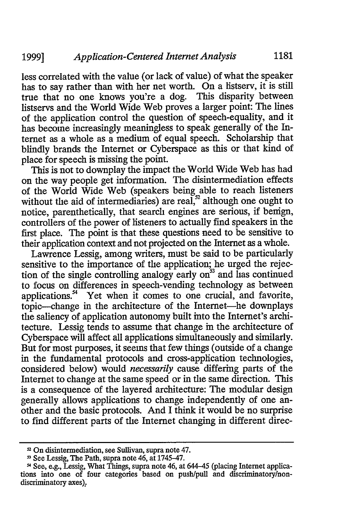less correlated with the value (or lack of value) of what the speaker has to say rather than with her net worth. On a listserv, it is still true that no one knows you're a dog. This disparity between listservs and the World Wide Web proves a larger point: The lines of the application control the question of speech-equality, and it has become increasingly meaningless to speak generally of the Internet as a whole as a medium of equal speech. Scholarship that blindly brands the Internet or Cyberspace as this or that kind of place for speech is missing the point.

This is not to downplay the impact the World Wide Web has had on the way people get information. The disintermediation effects of the World Wide Web (speakers being able to reach listeners without the aid of intermediaries) are real, $52$  although one ought to notice, parenthetically, that search engines are serious, if benign, controllers of the power of listeners to actually find speakers in the first place. The point is that these questions need to be sensitive to their application context and not projected on the Internet as a whole.

Lawrence Lessig, among writers, must be said to be particularly sensitive to the importance of the application; he urged the rejection of the single controlling analogy early on $\frac{33}{10}$  and has continued to focus on differences in speech-vending technology as between applications.<sup>54</sup> Yet when it comes to one crucial, and favorite, topic-change in the architecture of the Internet-he downplays the saliency of application autonomy built into the Internet's architecture. Lessig tends to assume that change in the architecture of Cyberspace will affect all applications simultaneously and similarly. But for most purposes, it seems that few things (outside of a change in the fundamental protocols and cross-application technologies, considered below) would *necessarily* cause differing parts of the Internet to change at the same speed or in the same direction. This is a consequence of the layered architecture: The modular design generally allows applications to change independently of one another and the basic protocols. And I think it would be no surprise to find different parts of the Internet changing in different direc-

On disintermediation, see Sullivan, supra note 47.

<sup>&</sup>lt;sup>53</sup> See Lessig, The Path, supra note 46, at 1745-47.

See, e.g., Lessig, What Things, supra note 46, at 644-45 (placing Internet applications into one of four categories based on push/pull and discriminatory/nondiscriminatory axes).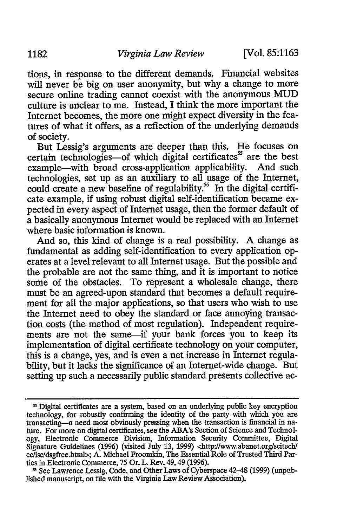tions, in response to the different demands. Financial websites will never be big on user anonymity, but why a change to more secure online trading cannot coexist with the anonymous MUD culture is unclear to me. Instead, I think the more important the Internet becomes, the more one might expect diversity in the features of what it offers, as a reflection of the underlying demands of society.

But Lessig's arguments are deeper than this. He focuses on certain technologies-of which digital certificates<sup>55</sup> are the best example-with broad cross-application applicability. And such technologies, set up as an auxiliary to all usage of the Internet, could create a new baseline of regulability.<sup>56</sup> In the digital certificate example, if using robust digital self-identification became expected in every aspect of Internet usage, then the former default of a basically anonymous Internet would be replaced with an Internet where basic information is known.

And so, this kind of change is a real possibility. A change as fundamental as adding self-identification to every application operates at a level relevant to all Internet usage. But the possible and the probable are not the same thing, and it is important to notice some of the obstacles. To represent a wholesale change, there must be an agreed-upon standard that becomes a default requirement for all the major applications, so that users who wish to use the Internet need to obey the standard or face annoying transaction costs (the method of most regulation). Independent requirements are not the same—if your bank forces you to keep its implementation of digital certificate technology on your computer, this is a change, yes, and is even a net increase in Internet regulability, but it lacks the significance of an Internet-wide change. But setting up such a necessarily public standard presents collective ac-

Digital certificates are a system, based on an underlying public key encryption technology, for robustly confirming the identity of the party with which you are transacting-a need most obviously pressing when the transaction is financial in nature. For more on digital certificates, see the ABA's Section of Science and Technology, Electronic Commerce Division, Information Security Committee, Digital Signature Guidelines (1996) (visited July 13, 1999) <http://www.abanet.org/scitech eclisc/dsgfree.html>; A. Michael Froomkin, The Essential Role of Trusted Third Parties in Electronic Commerce, 75 Or. L. Rev. 49,49 (1996).

**<sup>56</sup>** See Lawrence Lessig, Code, and Other Laws of Cyberspace 42-48 (1999) (unpublished manuscript, on file with the Virginia Law Review Association).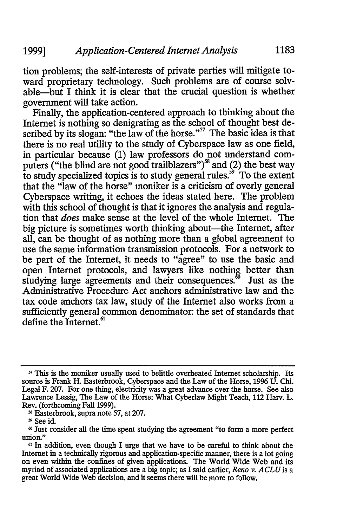tion problems; the self-interests of private parties will mitigate toward proprietary technology. Such problems are of course solvable-but I think it is clear that the crucial question is whether government will take action.

Finally, the application-centered approach to thinking about the Internet is nothing so denigrating as the school of thought best described by its slogan: "the law of the horse."<sup>57</sup> The basic idea is that there is no real utility to the study of Cyberspace law as one field, in particular because (1) law professors do not understand computers ("the blind are not good trailblazers")<sup>58</sup> and (2) the best way to study specialized topics is to study general rules.<sup>39</sup> To the extent that the "law of the horse" moniker is a criticism of overly general Cyberspace writing, it echoes the ideas stated here. The problem with this school of thought is that it ignores the analysis and regulation that *does* make sense at the level of the whole Internet. The big picture is sometimes worth thinking about—the Internet, after all, can be thought of as nothing more than a global agreement to use the same information transmission protocols. For a network to be part of the Internet, it needs to "agree" to use the basic and open Internet protocols, and lawyers like nothing better than studying large agreements and their consequences.<sup>60</sup> Just as the Administrative Procedure Act anchors administrative law and the tax code anchors tax law, study of the Internet also works from a sufficiently general common denominator: the set of standards that define the Internet.<sup>61</sup>

<sup>&</sup>lt;sup>57</sup> This is the moniker usually used to belittle overheated Internet scholarship. Its source is Frank H. Easterbrook, Cyberspace and the Law of the Horse, 1996 U. Chi. Legal F. 207. For one thing, electricity was a great advance over the horse. See also Lawrence Lessig, The Law of the Horse: What Cyberlaw Might Teach, 112 Harv. L. Rev. (forthcoming Fall 1999).

<sup>&</sup>lt;sup>38</sup> Easterbrook, supra note 57, at 207.

**<sup>-1</sup>** See id.

**<sup>60</sup>**Just consider all the time spent studying the agreement "to form a more perfect union."

<sup>&</sup>lt;sup>61</sup> In addition, even though I urge that we have to be careful to think about the Internet in a technically rigorous and application-specific manner, there is a lot going on even within the confines of given applications. The World Wide Web and its myriad of associated applications are a big topic; as I said earlier, *Reno v. ACLU* is a great World Wide Web decision, and it seems there will be more to follow.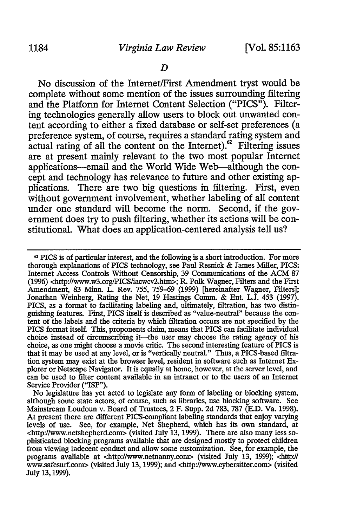No discussion of the Internet/First Amendment tryst would be complete without some mention of the issues surrounding filtering and the Platform for Internet Content Selection ("PICS"). Filtering technologies generally allow users to block out unwanted content according to either a fixed database or self-set preferences (a preference system, of course, requires a standard rating system and actual rating of all the content on the Internet).  $\alpha$  Filtering issues are at present mainly relevant to the two most popular Internet applications--email and the World Wide Web-although the concept and technology has relevance to future and other existing applications. There are two big questions in filtering. First, even without government involvement, whether labeling of all content under one standard will become the norm. Second, if the government does try to push filtering, whether its actions will be constitutional. What does an application-centered analysis tell us?

 $\alpha$  PICS is of particular interest, and the following is a short introduction. For more thorough explanations of PICS technology, see Paul Resnick & James Miller, PICS: Internet Access Controls Without Censorship, 39 Communications of the ACM 87 (1996) <http:llwww.w3.org/PICS/iacwcv2.htm>; R. Polk Wagner, Filters and the First Amendment, 83 Minn. L. Rev. 755, 759-69 (1999) [hereinafter Wagner, Filters]; Jonathan Weinberg, Rating the Net, **19** Hastings Comm. & Ent. **LJ.** 453 (1997). PICS, as a format to facilitating labeling and, ultimately, filtration, has two distinguishing features. First, PICS itself is described as "value-neutral" because the content of the labels and the criteria by which filtration occurs are not specified by the PICS format itself. This, proponents claim, means that PICS can facilitate individual choice instead of circumscribing it-the user may choose the rating agency of his choice, as one might choose a movie critic. The second interesting feature of PICS is that it may be used at any level, or is "vertically neutral." Thus, a PICS-based filtration system may exist at the browser level, resident in software such as Internet Explorer or Netscape Navigator. It is equally at home, however, at the server level, and can be used to filter content available in an intranet or to the users of an Internet Service Provider ("ISP").

No legislature has yet acted to legislate any form of labeling or blocking system, although some state actors, of course, such as libraries, use blocking software. See Mainstream Loudoun v. Board of Trustees, 2 F. Supp. 2d 783, 787 (E.D. Va. 1998). At present there are different PICS-compliant labeling standards that enjoy varying levels of use. See, for example, Net Shepherd, which has its own standard, at <http://www.netshepherd.com> (visited July 13, 1999). There are also many less sophisticated blocking programs available that are designed mostly to protect children from viewing indecent conduct and allow some customization. See, for example, the programs available at <http://www.netnanny.com> (visited July 13, 1999); <http:// www.safesurf.com> (visited July 13, 1999); and <http://www.cybersitter.com> (visited July 13,1999).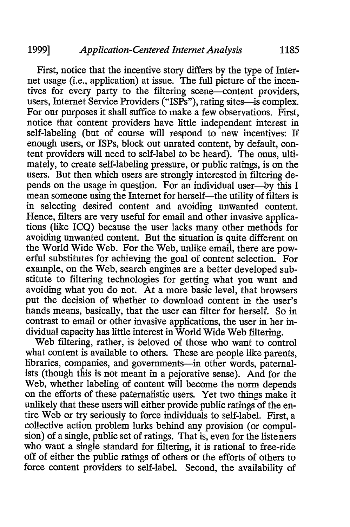First, notice that the incentive story differs by the type of Internet usage (i.e., application) at issue. The full picture of the incentives for every party to the filtering scene-content providers, users, Internet Service Providers ("ISPs"), rating sites-is complex. For our purposes it shall suffice to make a few observations. First, notice that content providers have little independent interest in self-labeling (but of course will respond to new incentives: If enough users, or ISPs, block out unrated content, by default, content providers will need to self-label to be heard). The onus, ultimately, to create self-labeling pressure, or public ratings, is on the users. But then which users are strongly interested in filtering depends on the usage in question. For an individual user-by this I inean someone using the Internet for herself—the utility of filters is in selecting desired content and avoiding unwanted content. Hence, filters are very useful for email and other invasive applications (like ICQ) because the user lacks many other methods for avoiding unwanted content. But the situation is quite different on the World Wide Web. For the Web, unlike email, there are powerful substitutes for achieving the goal of content selection. For example, on the Web, search engines are a better developed substitute to filtering technologies for getting what you want and avoiding what you do not. At a more basic level, that browsers put the decision of whether to download content in the user's hands means, basically, that the user can filter for herself. So in contrast to email or other invasive applications, the user in her individual capacity has little interest in World Wide Web filtering.

Web filtering, rather, is beloved of those who want to control what content is available to others. These are people like parents, libraries, compamies, and governments-in other words, paternalists (though this is not meant in a pejorative sense). And for the Web, whether labeling of content will become the norm depends on the efforts of these paternalistic users. Yet two things make it unlikely that these users will either provide public ratings of the entire Web or try seriously to force individuals to self-label. First, a collective action problem lurks behind any provision (or compulsion) of a single, public set of ratings. That is, even for the listeners who want a single standard for filtering, it is rational to free-ride off of either the public ratings of others or the efforts of others to force content providers to self-label. Second, the availability of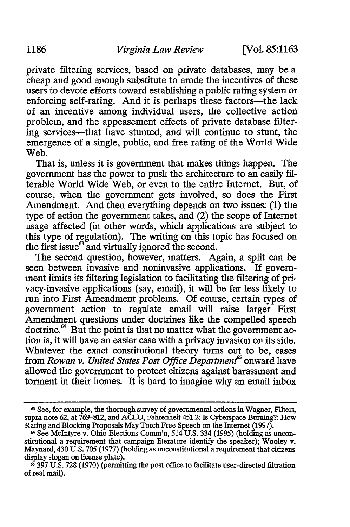private filtering services, based on private databases, may be a cheap and good enough substitute to erode the incentives of these users to devote efforts toward establishing a public rating system or enforcing self-rating. And it is perhaps these factors-the lack of an incentive among individual users, the collective actioi problem, and the appeasement effects of private database filtering services—that have stunted, and will continue to stunt, the emergence of a single, public, and free rating of the World Wide Web.

That is, unless it is government that makes things happen. The government has the power to push the architecture to an easily **fil**terable World Wide Web, or even to the entire Internet. But, of course, when the government gets involved, so does the First Amendment. And then everything depends on two issues: (1) the type of action the government takes, and (2) the scope of Internet usage affected (in other words, which applications are subject to this type of regulation). The writing on this topic has focused on the first issue $\mathbf{e}^3$  and virtually ignored the second.

The second question, however, matters. Again, a split can be seen between invasive and noninvasive applications. If government limits its filtering legislation to facilitating the filtering of privacy-invasive applications (say, email), it will be far less likely to run into First Amendment problems. Of course, certain types of government action to regulate email will raise larger First Amendment questions under doctrines like the compelled speech doctrine.<sup>64</sup> But the point is that no matter what the government action is, it will have an easier case with a privacy invasion on its side. Whatever the exact constitutional theory turns out to be, cases from *Rowan v. United States Post Office Department*<sup>65</sup> onward have allowed the government to protect citizens against harassment and torment in their homes. It is hard to imagine why an email inbox

<sup>&</sup>lt;sup>63</sup> See, for example, the thorough survey of governmental actions in Wagner, Filters, supra note 62, at 769-812, and ACLU, Fahrenheit 451.2: Is Cyberspace Burning?: How Rating and Blocking Proposals May Torch Free Speech on the Internet (1997).

See McIntyre v. Ohio Elections Comm'n, 514 U.S. 334 (1995) (holding as unconstitutional a requirement that campaign literature identify the speaker); Wooley v. Maynard, 430 U.S. 705 (1977) (holding as unconstitutional a requirement that citizens display slogan on license plate).

 $\frac{397 \text{ U.S.}}{228 (1970)}$  (permitting the post office to facilitate user-directed filtration of real mail).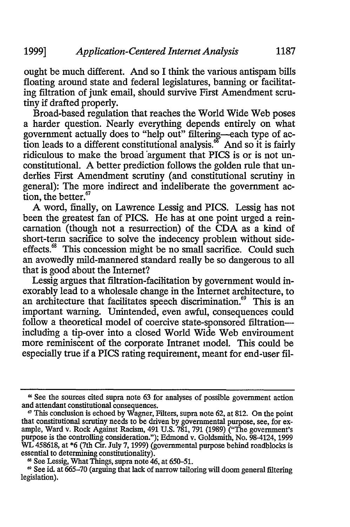ought be much different. And so I think the various antispam bills floating around state and federal legislatures, banning or facilitating filtration of junk email, should survive First Amendment scrutiny if drafted properly.

Broad-based regulation that reaches the World Wide Web poses a harder question. Nearly everything depends entirely on what government actually does to "help out" filtering-each type of action leads to a different constitutional analysis. $\delta$  And so it is fairly ridiculous to make the broad argument that PICS is or is not unconstitutional. A better prediction follows the golden rule that underlies First Amendment scrutiny (and constitutional scrutiny in general): The more indirect and indeliberate the government action, the better.<sup>67</sup>

A word, finally, on Lawrence Lessig and PICS. Lessig has not been the greatest fan of PICS. He has at one point urged a reincarnation (though not a resurrection) of the CDA as a kind of short-term sacrifice to solve the indecency problem without sideeffects.<sup>68</sup> This concession might be no small sacrifice. Could such an avowedly mild-mannered standard really be so dangerous to all that is good about the Internet?

Lessig argues that filtration-facilitation by government would inexorably lead to a wholesale change in the Internet architecture, to an architecture that facilitates speech discrimination.<sup>69</sup> This is an important warning. Unintended, even awful, consequences could follow a theoretical model of coercive state-sponsored filtration--including a tip-over into a closed World Wide Web environment more reminiscent of the corporate Intranet model. This could be especially true if a PICS rating requirement, meant for end-user fi-

<sup>&</sup>quot;See the sources cited supra note 63 for analyses of possible government action and attendant constitutional consequences.<br>
<sup>67</sup>This conclusion is echoed by Wagner, Filters, supra note 62, at 812. On the point

that constitutional scrutiny needs to be driven by governmental purpose, see, for example, Ward v. Rock Against Racism, 491 U.S. 781, 791 (1989) ("The government's purpose is the controlling consideration."); Edmond v. Goldsmith, No. 98-4124, 1999 WL 458618, at \*6 (7th Cir. July 7, 1999) (governmental purpose behind roadblocks is essential to determining constitutionality).

<sup>&</sup>lt;sup>68</sup> See Lessig, What Things, supra note 46, at 650–51.

**<sup>6</sup>** See id. at 665-70 (arguing that lack of narrow tailoring will doom general filtering legislation).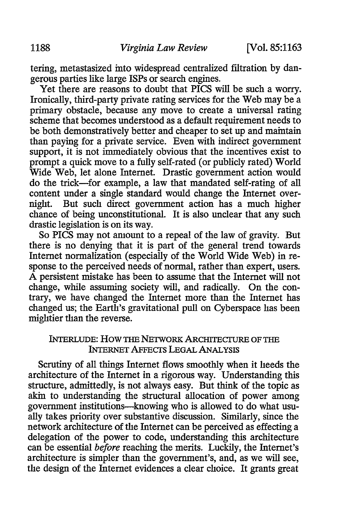tering, metastasized into widespread centralized filtration by dangerous parties like large ISPs or search engines.

Yet there are reasons to doubt that PICS will be such a worry. Ironically, third-party private rating services for the Web may be a primary obstacle, because any move to create a universal rating scheme that becomes understood as a default requirement needs to be both demonstratively better and cheaper to set up and maintain than paying for a private service. Even with indirect government support, it is not immediately obvious that the incentives exist to prompt a quick move to a fully self-rated (or publicly rated) World Wide Web, let alone Internet. Drastic government action would do the trick-for example, a law that mandated self-rating of all content under a single standard would change the Internet overnight. But such direct government action has a much higher chance of being unconstitutional. It is also unclear that any such drastic legislation is on its way.

So PICS may not amount to a repeal of the law of gravity. But there is no denying that it is part of the general trend towards Internet normalization (especially of the World Wide Web) in response to the perceived needs of normal, rather than expert, users. A persistent mistake has been to assume that the Internet will not change, while assuming society will, and radically. On the contrary, we have changed the Internet more than the Internet has changed us; the Earth's gravitational pull on Cyberspace has been mightier than the reverse.

## INTERLUDE: HOW THE NETWORK ARCHITECTURE OF THE **INTERNET** AFFEcrs **LEGAL** ANALYSIS

Scrutiny of all things Internet flows smoothly when it heeds the architecture of the Internet in a rigorous way. Understanding this structure, admittedly, is not always easy. But think of the topic as akin to understanding the structural allocation of power among government institutions-knowing who is allowed to do what usually takes priority over substantive discussion. Similarly, since the network architecture of the Internet can be perceived as effecting a delegation of the power to code, understanding this architecture can be essential *before* reaching the merits. Luckily, the Internet's architecture is simpler than the government's, and, as we will see, the design of the Internet evidences a clear choice. It grants great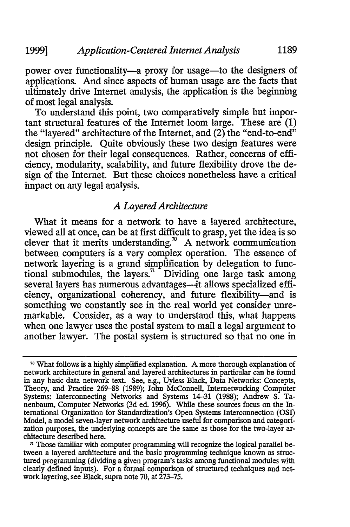power over functionality-a proxy for usage-to the designers of applications. And since aspects of human usage are the facts that ultimately drive Internet analysis, the application is the beginning of most legal analysis.

To understand this point, two comparatively simple but important structural features of the Internet loom large. These are (1) the "layered" architecture of the Internet, and  $(2)$  the "end-to-end" design principle. Quite obviously these two design features were not chosen for their legal consequences. Rather, concerns of efficiency, modularity, scalability, and future flexibility drove the design of the Internet. But these choices nonetheless have a critical impact on any legal analysis.

## *A Layered Architecture*

What it means for a network to have a layered architecture, viewed all at once, can be at first difficult to grasp, yet the idea is so clever that it inerits understanding.<sup>70</sup> A network communication between computers is a very complex operation. The essence of network layering is a grand simplification by delegation to functional submodules, the layers.<sup>71</sup> Dividing one large task among several layers has numerous advantages-it allows specialized efficiency, organizational coherency, and future flexibility-and is something we constantly see in the real world yet consider unremarkable. Consider, as a way to understand this, what happens when one lawyer uses the postal system to mail a legal argument to another lawyer. The postal system is structured so that no one in

**<sup>70</sup>**What follows is a highly simplified explanation. A more thorough explanation of network architecture in general and layered architectures in particular can be found in any basic data network text. See, e.g., Uyless Black, Data Networks: Concepts, Theory, and Practice 269-88 (1989); John McConnell, Intemetworking Computer Systems: Interconnecting Networks and Systems 14-31 (1988); Andrew S. Tanenbaum, Computer Networks (3d ed. 1996). While these sources focus on the International Organization for Standardization's Open Systems Interconnection (OSI) Model, a model seven-layer network architecture useful for comparison and categorization purposes, the underlying concepts are the same as those for the two-layer architecture described here.

**<sup>71</sup>** Those familiar with computer programming will recognize the logical parallel between a layered architecture and the basic programming technique known as structured programming (dividing a given program's tasks among functional modules with clearly defined inputs). For a formal comparison of structured techniques and network layering, see Black, supra note 70, at 273-75.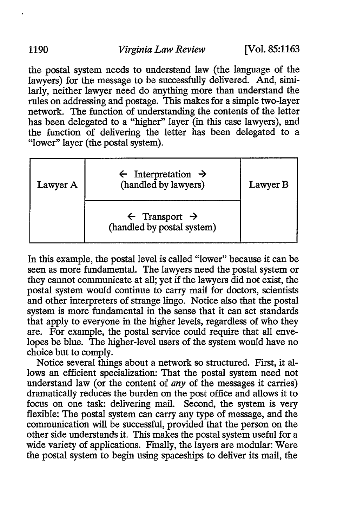the postal system needs to understand law (the language of the lawyers) for the message to be successfully delivered. And, similarly, neither lawyer need do anything more than understand the rules on addressing and postage. This makes for a simple two-layer network. The function of understanding the contents of the letter has been delegated to a "higher" layer (in this case lawyers), and the function of delivering the letter has been delegated to a "lower" layer (the postal system).



In this example, the postal level is called "lower" because it can be seen as more fundamental. The lawyers need the postal system or they cannot communicate at all; yet if the lawyers did not exist, the postal system would continue to carry mail for doctors, scientists and other interpreters of strange lingo. Notice also that the postal system is more fundamental in the sense that it can set standards that apply to everyone in the higher levels, regardless of who they are. For example, the postal service could require that all envelopes be blue. The higher-level users of the system would have no choice but to comply.

Notice several things about a network so structured. First, it allows an efficient specialization: That the postal system need not understand law (or the content of *any* of the messages it carries) dramatically reduces the burden on the post office and allows it to focus on one task: delivering mail. Second, the system is very flexible: The postal system can carry any type of message, and the communication will be successful, provided that the person on the other side understands it. This makes the postal system useful for a wide variety of applications. Finally, the layers are modular: Were the postal system to begin using spaceships to deliver its mail, the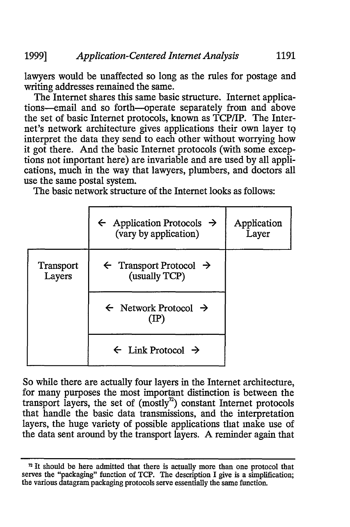lawyers would be unaffected so long as the rules for postage and writing addresses remained the same.

The Internet shares this same basic structure. Internet applications-email and so forth-operate separately from and above the set of basic Internet protocols, known as TCP/IP. The Internet's network architecture gives applications their own layer tQ interpret the data they send to each other without worrying how it got there. And the basic Internet protocols (with some exceptions not important here) are invariable and are used by all applications, much in the way that lawyers, plumbers, and doctors all use the same postal system.

The basic network structure of the Internet looks as follows:

|                     | $\leftarrow$ Application Protocols $\rightarrow$<br>(vary by application) | Application<br>Layer |
|---------------------|---------------------------------------------------------------------------|----------------------|
| Transport<br>Layers | $\leftarrow$ Transport Protocol $\rightarrow$<br>(usually TCP)            |                      |
|                     | $\leftarrow$ Network Protocol $\rightarrow$<br>(IP)                       |                      |
|                     | $\leftarrow$ Link Protocol $\rightarrow$                                  |                      |

So while there are actually four layers in the Internet architecture, for many purposes the most important distinction is between the transport layers, the set of  $(mostly<sup>2</sup>)$  constant Internet protocols that handle the basic data transmissions, and the interpretation layers, the huge variety of possible applications that make use of the data sent around by the transport layers. A reminder again that

**<sup>72</sup>**It should be here admitted that there is actually more than one protocol that serves the "packaging" function of TCP. The description I give is a simplification; the various datagram packaging protocols serve essentially the same function.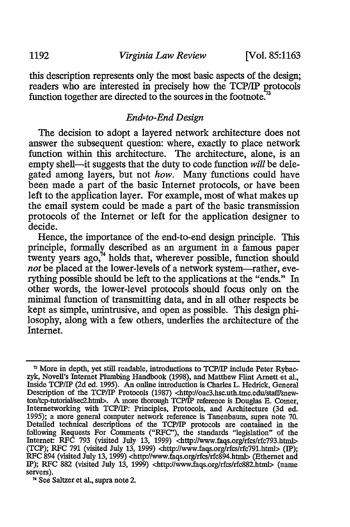this description represents only the most basic aspects of the design; readers who are interested in precisely how the TCP/IP protocols function together are directed to the sources in the footnote.

#### *End to-End Design*

The decision to adopt a layered network architecture does not answer the subsequent question: where, exactly to place network function within this architecture. The architecture, alone, is an empty shell-it suggests that the duty to code function *will* be delegated among layers, but not *how.* Many functions could have been made a part of the basic Internet protocols, or have been left to the application layer. For example, most of what makes up the email system could be made a part of the basic transmission protocols of the Internet or left for the application designer to decide.

Hence, the importance of the end-to-end design principle. This principle, formally described as an argument in a famous paper twenty years ago, $<sup>74</sup>$  holds that, wherever possible, function should</sup> *not* be placed at the lower-levels of a network system-rather, everything possible should be left to the applications at the "ends." In other words, the lower-level protocols should focus only on the minimal function of transmitting data, and in all other respects be kept as simple, unintrusive, and open as possible. This design philosophy, along with a few others, underlies the architecture of the Internet.

<sup>&</sup>lt;sup>73</sup> More in depth, yet still readable, introductions to TCP/IP include Peter Rybac-zyk, Novell's Internet Plumbing Handbook (1998), and Matthew Flint Arnett et al., Inside TCP/IP (2d ed. 1995). An online introduction is Charles L. Hedrick, General Description of the TCP/IP Protocols (1987) <http://oac3.hsc.uth.tmc.edu/staff/snew ton/tcp-tutoriallsec2.html>. A more thorough TCP/IP reference is Douglas E. Comer, Internetworking with TCP/IP: Principles, Protocols, and Architecture (3d ed. 1995); a more general computer network reference is Tanenbaum, supra note 70. Detailed technical descriptions of the TCP/IP protocols are contained in the following Requests For Comments ("RFC"), the standards "legislation" of the Internet: RFC 793 (visited July 13, 1999) <http//www.faqs.org/rfcs/rfc793.html> (TCP); RFC 791 (visited July 13, 1999) <http://www.faqs.orglrfcs/rfc791.html> (IP); RFC 894 (visited July 13, 1999) <http://www.faqs.orglrfcs/rfc894.html> (Ethernet and IP); RFC 882 (visited July 13, 1999) <http://www.faqs.org/rfcs/rfc882.html> (name servers).

<sup>74</sup> See Saltzer et al., supra note 2.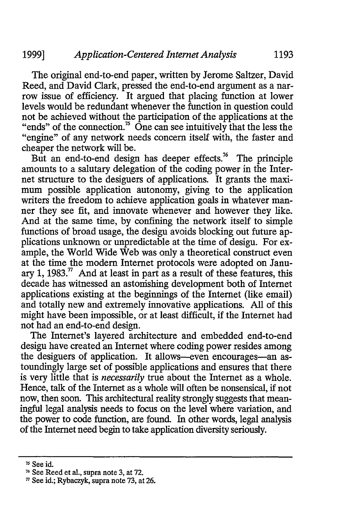The original end-to-end paper, written by Jerome Saltzer, David Reed, and David Clark, pressed the end-to-end argument as a narrow issue of efficiency. It argued that placing function at lower levels would be redundant whenever the function in question could not be achieved without the participation of the applications at the "ends" of the connection.<sup>75</sup> One can see intuitively that the less the "engine" of any network needs concern itself with, the faster and cheaper the network will be.

But an end-to-end design has deeper effects.<sup>76</sup> The principle amounts to a salutary delegation of the coding power in the Internet structure to the designers of applications. It grants the maximum possible application autonomy, giving to the application writers the freedom to achieve application goals in whatever manner they see fit, and innovate whenever and however they like. And at the same time, by confining the network itself to simple functions of broad usage, the design avoids blocking out future applications unknown or unpredictable at the time of design. For example, the World Wide Web was only a theoretical construct even at the time the modern Internet protocols were adopted on January 1, 1983. $\%$  And at least in part as a result of these features, this decade has witnessed an astonishing development both of Internet applications existing at the beginnings of the Internet (like email) and totally new and extremely innovative applications. All of this might have been impossible, or at least difficult, if the Internet had not had an end-to-end design.

The Internet's layered architecture and embedded end-to-end design have created an Internet where coding power resides among the desiguers of application. It allows-even encourages-an astoundingly large set of possible applications and ensures that there is very little that is *necessarily* true about the Internet as a whole. Hence, talk of the Internet as a whole will often be nonsensical, if not now, then soon. This architectural reality strongly suggests that meaningful legal analysis needs to focus on the level where variation, and the power to code function, are found. In other words, legal analysis of the Internet need begin to take application diversity seriously.

**<sup>75</sup>** See id.

**<sup>76</sup>**See Reed et al., supra note 3, at 72.

**<sup>&#</sup>x27;n** See id.; Rybaczyk, supra note 73, at 26.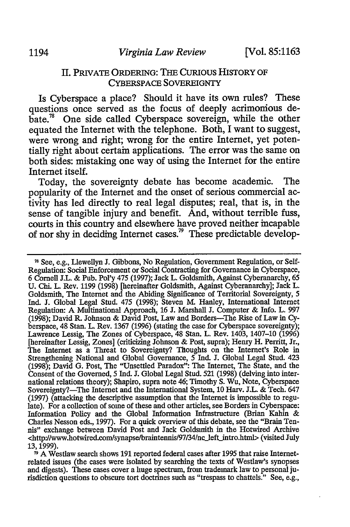#### II. PRIVATE ORDERING: THE CURIOUS HISTORY OF CYBERSPACE SOVEREIGNTY

Is Cyberspace a place? Should it have its own rules? These questions once served as the focus of deeply acrimonious debate.<sup>78</sup> One side called Cyberspace sovereign, while the other equated the Internet with the telephone. Both, I want to suggest, were wrong and right; wrong for the entire Internet, yet potentially right about certain applications. The error was the same on both sides: mistaking one way of using the Internet for the entire Internet itself.

Today, the sovereignty debate has become academic. The popularity of the Internet and the onset of serious commercial activity has led directly to real legal disputes; real, that is, in the sense of tangible injury and benefit. And, without terrible fuss, courts in this country and elsewhere have proved neither incapable of nor shy in deciding Internet cases.<sup>79</sup> These predictable develop-

**<sup>78</sup>** See, e.g., Llewellyn **J.** Gibbons, No Regulation, Government Regulation, or Self-Regulation: Social Enforcement or Social Contracting for Governance in Cyberspace, 6 Cornell **J.L.** & Pub. Pol'y 475 (1997); Jack L. Goldsmith, Against Cyberanarchy, 65 **U.** Chi. L. Rev. 1199 (1998) [hereinafter Goldsmith, Against Cyberanarchy]; Jack L. Goldsmith, The Internet and the Abiding Significance of Territorial Sovereignty, 5 Ind. **J.** Global Legal Stud. 475 (1998); Steven M. Hanley, International Internet Regulation: **A** Multinational Approach, 16 **J.** Marshall **J.** Computer & Info. L. **997** (1998); David R. Johnson & David Post, Law and Borders-The Rise of Law in **Cy**berspace, 48 Stan. L. Rev. 1367 (1996) (stating the case for Cyberspace sovereignty); Lawrence Lessig, The Zones of Cyberspace, 48 Stan. L. Rev. 1403, 1407-10 (1996) [hereinafter Lessig, Zones] (criticizing Johnson & Post, supra); Henry H. Perritt, Jr., The Internet as a Threat to Sovereignty? Thoughts on the Internet's Role in Strengthening National and Global Governance, 5 Ind. J. Global Legal Stud. 423 (1998); David **G.** Post, The "Unsettled Paradox": The Internet, The State, and the Consent of the Governed, 5 Ind. J. Global Legal Stud. 521 (1998) (delving into international relations theory); Shapiro, supra note 46; Timothy S. Wu, Note, Cyberspace Sovereignty?-The Internet and the International System, 10 Harv. J.L. & Tech. 647 (1997) (attacking the descriptive assumption that the Internet is impossible to regulate). For a collection of some of these and other articles, see Borders in Cyberspace: Information Policy and the Global Information Infrastructure (Brian Kahin & Charles Nesson eds., 1997). For a quick overview of this debate, see the "Brain Tennis" exchange between David Post and Jack Goldsmith in the Hotwired Archive <http:/www.hotwired.comlsynapselbraintennis/97/34/nc left\_intro.html> (visited July **13,1999).**

**<sup>&#</sup>x27;9** A Westlaw search shows 191 reported federal cases after 1995 that raise Internetrelated issues (the cases were isolated by searching the texts of Westlaw's synopses and digests). These cases cover a huge spectrum, from trademark law to personal jurisdiction questions to obscure tort doctrines such as "trespass to chattels." See, e.g.,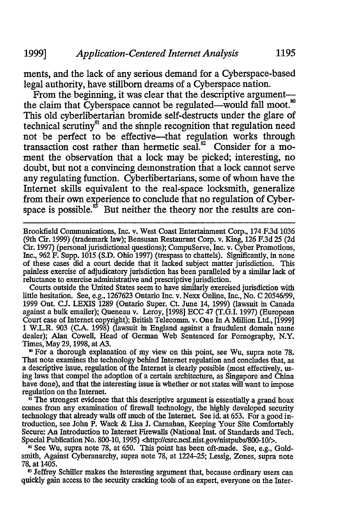ments, and the lack of any serious demand for a Cyberspace-based legal authority, have stillborn dreams of a Cyberspace nation.

From the beginning, it was clear that the descriptive argumentthe claim that Cyberspace cannot be regulated-would fall moot.<sup>80</sup> This old cyberlibertarian bromide self-destructs under the glare of technical scrutiny<sup>81</sup> and the simple recognition that regulation need not be perfect to be effective-that regulation works through transaction cost rather than hermetic seal. $82$  Consider for a moment the observation that a lock may be picked; interesting, no doubt, but not a convincing demonstration that a lock cannot serve any regulating function. Cyberlibertarians, some of whom have the Internet skills equivalent to the real-space locksmith, generalize from their own experience to conclude that no regulation of Cyberspace is possible.<sup>83</sup> But neither the theory nor the results are con-

Brookfield Communications, Inc. v. West Coast Entertainment Corp., 174 F.3d 1036 (9th Cir. 1999) (trademark law); Bensusan Restaurant Corp. v. King, 126 F.3d 25 (2d Cir. 1997) (personal jurisdictional questions); CompuServe, Inc. v. Cyber Promotions, Inc., 962 F. Supp. 1015 (S.D. Ohio 1997) (trespass to chattels). Significantly, in none of these cases did a court decide that it lacked subject matter jurisdiction. This painless exercise of adjudicatory jurisdiction has been paralleled by a similar lack of reluctance to exercise administrative and prescriptive jurisdiction.

Courts outside the United States seem to have similarly exercised jurisdiction with little hesitation. See, e.g., 1267623 Ontario Inc. v. Nexx Online, Inc., No. C 20546/99, 1999 Ont. CJ. LEXIS 1289 (Ontario Super. Ct. June 14, 1999) (lawsuit in Canada against a bulk emailer); Queneau v. Leroy, [1998] ECC 47 (T.G.I. 1997) (European Court case of Internet copyright); British Telecomm. v. One In A Million Ltd., [1999] 1 W.L.R. 903 (C.A. 1998) (lawsuit in England against a fraudulent domain name dealer); Alan Cowell, Head of German Web Sentenced for Pornography, N.Y. Times, May 29, 1998, at A3.

For a thorough explanation of my view on this point, see Wu, supra note 78. That note examines the technology behind Internet regulation and concludes that, as a descriptive issue, regulation of the Internet is clearly possible (most effectively, using laws that compel the adoption of a certain architecture, as Singapore and China have done), and that the interesting issue is whether or not states will want to impose regulation on the Internet. **<sup>s</sup>**The strongest evidence that this descriptive argument is essentially a grand hoax

comes from any examination of firewall technology, the highly developed security technology that already walls off much of the Internet. See id. at 653. For a good introduction, see John P. Wack & Lisa J. Carnahan, Keeping Your Site Comfortably Secure: An Introduction to Internet Firewalls (National Inst. of Standards and Tech. Special Publication No. 800-10, 1995) <http://csrc.ncsl.nist.gov/nistpubs/800-10/>

<sup>22</sup> See Wu, supra note 78, at 650. This point has been oft-made. See, e.g., Goldsmith, Against Cyberanarchy, supra note 78, at 1224-25; Lessig, Zones, supra note 78, at 1405.

<sup>83</sup> Jeffrey Schiller makes the interesting argument that, because ordinary users can quickly gain access to the security cracking tools of an expert, everyone on the Inter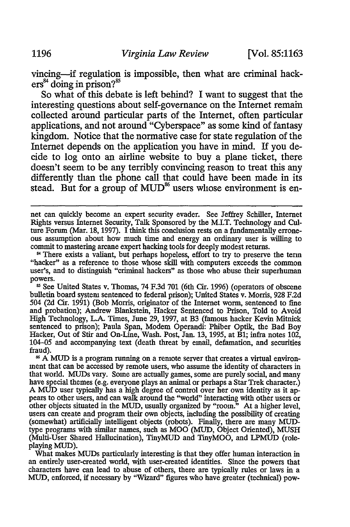vincing-if regulation is impossible, then what are criminal hack $ers<sup>84</sup>$  doing in prison?<sup>85</sup>

So what of this debate is left behind? I want to suggest that the interesting questions about self-governance on the Internet remain collected around particular parts of the Internet, often particular applications, and not around "Cyberspace" as some kind of fantasy kingdom. Notice that the normative case for state regulation of the Internet depends on the application you have in mind. If you decide to log onto an airline website to buy a plane ticket, there doesn't seem to be any terribly convincing reason to treat this any differently than the phone call that could have been made in its stead. But for a group of  $MUD^{\infty}$  users whose environment is en-

powers.<br><sup>58</sup> See United States v. Thomas, 74 F.3d 701 (6th Cir. 1996) (operators of obscene bulletin board system sentenced to federal prison); United States v. Morris, 928 F.2d 504 (2d Cir. 1991) (Bob Morris, originator of the Internet worm, sentenced to fine and probation); Andrew Blankstein, Hacker Sentenced to Prison, Told to Avoid High Technology, L.A. Times, June 29, 1997, at B3 (famous hacker Kevin Mitnick sentenced to prison); Paula Span, Modem Operandi: Phiber Optik, the Bad Boy Hacker, Out of Stir and On-Line, Wash. Post, Jan. 13, 1995, at Bi; infra notes 102, 104-05 and accompanying text (death threat by email, defamation, and securities fraud).

**"A** MUD is a program running on a remote server that creates a virtual environment that can be accessed by remote users, who assume the identity of characters in that world. MUDs vary. Some are actually games, some are purely social, and many have special themes (e.g. everyone plays an animal or perhaps a Star Trek character.) A MUD user typically has a high degree of control over her own identity as it appears to other users, and can walk around the "world" interacting with other users or other objects situated in the MUD, usually organized by "room." At a higher level, users can create and program their own objects, including the possibility of creating (somewhat) artificially intelligent objects (robots). Finally, there are many MUDtype programs with similar names, such as MOO (MUD, Object Oriented), MUSH (Multi-User Shared Hallucination), TinyMUD and TinyMOO, and LPMUD (roleplaying MUD).

What makes MUDs particularly interesting is that they offer human interaction in an entirely user-created world, with user-created identities. Since the powers that characters have can lead to abuse of others, there are typically rules or laws in a MUD, enforced, if necessary by "Wizard" figures who have greater (technical) pow-

net can quickly become an expert security evader. See Jeffrey Schiller, Internet Rights versus Internet Security, Talk Sponsored by the M.I.T. Technology and Culture Forum (Mar. 18, 1997). I think this conclusion rests on a fundamentally erroneous assumption about how much time and energy an ordinary user is willing to commit to mastering arcane expert hacking tools for deeply modest returns.

<sup>&</sup>lt;sup>84</sup> There exists a valiant, but perhaps hopeless, effort to try to preserve the term "hacker" as a reference to those whose skill with computers exceeds the common user's, and to distinguish "criminal hackers" as those who abuse their superhuman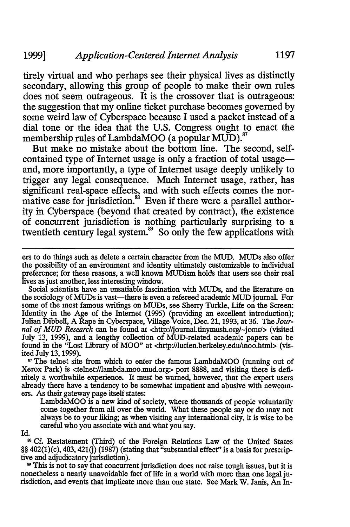tirely virtual and who perhaps see their physical lives as distinctly secondary, allowing this group of people to make their own rules does not seem outrageous. It is the crossover that is outrageous: the suggestion that my online ticket purchase becomes governed by some weird law of Cyberspace because I used a packet instead of a dial tone or the idea that the U.S. Congress ought to enact the membership rules of LambdaMOO (a popular MUD).<sup>87</sup>

But make no mistake about the bottom line. The second, selfcontained type of Internet usage is only a fraction of total usageand, more importantly, a type of Internet usage deeply unlikely to trigger any legal consequence. Much Internet usage, rather, has significant real-space effects, and with such effects comes the normative case for jurisdiction.<sup>88</sup> Even if there were a parallel authority in Cyberspace (beyond that created by contract), the existence of concurrent jurisdiction is nothing particularly surprising to a twentieth century legal system.<sup>89</sup> So only the few applications with

Social scientists have an unsatiable fascination with MUDs, and the literature on the sociology of MUDs is vast-there is even a refereed academic MUD journal. For some of the most famous writings on MUDs, see Sherry Turkle, Life on the Screen: Identity in the Age of the Internet (1995) (providing an excellent introduction); Julian Dibbell, A Rape in Cyberspace, Village Voice, Dec. 21, 1993, at 36. The *Journal of MUD Research* can be found at <http:ljoumal.tinymush.orgl-jomr/> (visited July 13, 1999), and a lengthy collection of MUD-related academic papers can be found in the "Lost Library of MOO" at <http://lucien.berkeley.edu/moo.html> (visited July 13, 1999).

**<sup>17</sup>**The telnet site from which to enter the famous LambdaMOO (running out of Xerox Park) is <telnet://lambda.moo.mud.org> port 8888, and visiting there is definitely a worthwhile experience. It must be warned, however, that the expert users already there have a tendency to be somewhat impatient and abusive with newcomers. As their gateway page itself states:

LambdaMOO is a new kind of society, where thousands of people voluntarily come together from all over the world. What these people say or do may not always be to your liking; as when visiting any international city, it is wise to be careful who you associate with and what you say.

Id.

Cf. Restatement (Third) of the Foreign Relations Law of the United States §§ 402(1)(c), 403, 421(j) (1987) (stating that "substantial effect" is a basis for prescriptive and adjudicatory jurisdiction).

**9** This is not to say that concurrent jurisdiction does not raise tough issues, but it is nonetheless a nearly unavoidable fact of life in a world with more than one legal jurisdiction, and events that implicate more than one state. See Mark W. Janis, An In-

ers to do things such as delete a certain character from the MUD. MUDs also offer the possibility of an environment and identity ultimately customizable to individual preference; for these reasons, a well known MUDism holds that users see their real lives as just another, less interesting window.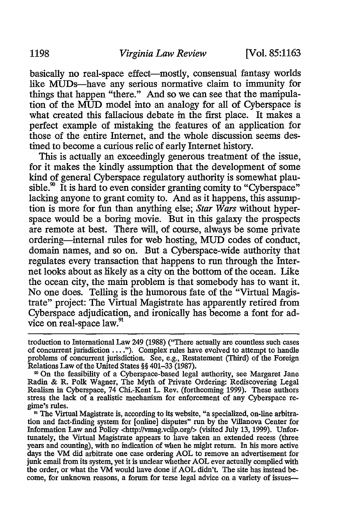basically no real-space effect-mostly, consensual fantasy worlds like MUDs-have any serious normative claim to immunity for things that happen "there." And so we can see that the manipulation of the MUD model into an analogy for all of Cyberspace is what created this fallacious debate in the first place. It makes a perfect example of mistaking the features of an application for those of the entire Internet, and the whole discussion seems destined to become a curious relic of early Internet history.

This is actually an exceedingly generous treatment of the issue, for it makes the kindly assumption that the development of some kind of general Cyberspace regulatory authority is somewhat plausible.<sup>90</sup> It is hard to even consider granting comity to "Cyberspace" lacking anyone to grant comity to. And as it happens, this assumption is more for fun than anything else; *Star Wars* without hyperspace would be a boring movie. But in this galaxy the prospects are remote at best. There will, of course, always be some private ordering-internal rules for web hosting, **MUD** codes of conduct, domain names, and so on. But a Cyberspace-wide authority that regulates every transaction that happens to run through the Internet looks about as likely as a city on the bottom of the ocean. Like the ocean city, the main problem is that somebody has to want it. No one does. Telling is the humorous fate of the "Virtual Magistrate" project: The Virtual Magistrate has apparently retired from Cyberspace adjudication, and ironically has become a font for advice on real-space law.<sup>91</sup>

troduction to International Law 249 (1988) ("There actually are countless such cases of concurrent jurisdiction .... "). Complex rules have evolved to attempt to handle problems of concurrent jurisdiction. See, e.g., Restatement (Third) of the Foreign Relations Law of the United States §§ 401-33 (1987).

**<sup>91</sup>** On the feasibility of a Cyberspace-based legal authority, see Margaret Jane Radin & R. Polk Wagner, The Myth of Private Ordering: Rediscovering Legal Realism in Cyberspace, 74 Chi.-Kent L. Rev. (forthcoming 1999). These authors stress the lack of a realistic mechanism for enforcement of any Cyberspace regime's rules.

**<sup>91</sup>** The Virtual Magistrate is, according to its website, "a specialized, on-line arbitration and fact-finding system for [online] disputes" run by the Villanova Center for Information Law and Policy <http://vmag.vcilp.org/> (visited July 13, 1999). Unfortunately, the Virtual Magistrate appears to have taken an extended recess (three years and counting), with no indication of when he might return. In his more active days the VM did arbitrate one case ordering AOL to remove an advertisement for junk email from its system, yet it is unclear whether AOL ever actually complied with the order, or what the VM would have done if AOL didn't. The site has instead become, for unknown reasons, a forum for terse legal advice on a variety of issues-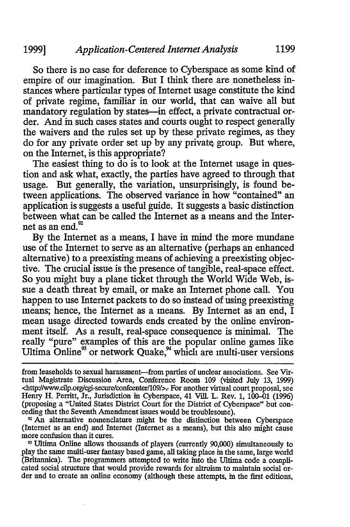So there is no case for deference to Cyberspace as some kind of empire of our imagination. But I think there are nonetheless instances where particular types of Internet usage constitute the kind of private regime, familiar in our world, that can waive all but mandatory regulation by states-in effect, a private contractual order. And in such cases states and courts ought to respect generally the waivers and the rules set up by these private regimes, as they do for any private order set up by any private group. But where, on the Internet, is this appropriate?

The easiest thing to do is to look at the Internet usage in question and ask what, exactly, the parties have agreed to through that usage. But generally, the variation, unsurprisingly, is found between applications. The observed variance in how "contained" an application is suggests a useful guide. It suggests a basic distinction between what can be called the Internet as a means and the Internet as an end.<sup>92</sup>

By the Internet as a means, I have in mind the more mundane use of the Internet to serve as an alternative (perhaps an enhanced alternative) to a preexisting means of achieving a preexisting objective. The crucial issue is the presence of tangible, real-space effect. So you might buy a plane ticket through the World Wide Web, issue a death threat by email, or make an Internet phone call. You happen to use Internet packets to do so instead of using preexisting means; hence, the Internet as a means. By Internet as an end, I mean usage directed towards ends created by the online environment itself. As a result, real-space consequence is minimal. The really "pure" examples of this are the popular online games like Ultima Online<sup>93</sup> or network Quake,<sup>94</sup> which are multi-user versions

from leaseholds to sexual harassment-from parties of unclear associations. See Virtual Magistrate Discussion Area, Conference Room 109 (visited July 13, 1999) <http://www.cilp.org/cgi-secure/confcenter/109/>. For another virtual court proposal, see Henry H. Perritt, Jr., Jurisdiction in Cyberspace, 41 Viii. L. Rev. 1, 100-01 (1996) (proposing a "United States District Court for the District of Cyberspace" but conceding that the Seventh Amendment issues would be troublesome).  $\frac{92}{2}$  An alternative nomenclature might be the distinction between Cyberspace

<sup>(</sup>Internet as an end) and Internet (Internet as a means), but this also might cause more confusion than it cures.

Ultima Online allows thousands of players (currently 90,000) simultaneously to play the same multi-user fantasy based game, all taking place in the same, large world (Britannica). The programmers attempted to write into the Ultima code a complicated social structure that would provide rewards for altruism to maintain social order and to create an online economy (although these attempts, in the first editions,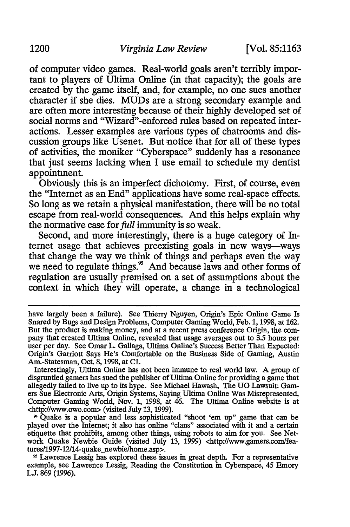of computer video games. Real-world goals aren't terribly important to players of Ultima Online (in that capacity); the goals are created by the game itself, and, for example, no one sues another character if she dies. MUDs are a strong secondary example and are often more interesting because of their highly developed set of social norms and "Wizard"-enforced rules based on repeated interactions. Lesser examples are various types of chatrooms and discussion groups like Usenet. But notice that for all of these types of activities, the moniker "Cyberspace" suddenly has a resonance that just seems lacking when I use email to schedule my dentist appointment.

Obviously this is an imperfect dichotomy. First, of course, even the "Internet as an End" applications have some real-space effects. So long as we retain a physical manifestation, there will be no total escape from real-world consequences. And this helps explain why the normative case for *full* immunity is so weak.

Second, and more interestingly, there is a huge category of Internet usage that achieves preexisting goals in new ways-ways that change the way we think of things and perhaps even the way we need to regulate things.<sup>95</sup> And because laws and other forms of regulation are usually premised on a set of assumptions about the context in which they will operate, a change in a technological

Interestingly, Ultima Online has not been immune to real world law. A group of disgruntled gamers has sued the publisher of Ultima Online for providing a game that allegedly failed to live up to its hype. See Michael Hawash, The UO Lawsuit: Gamers Sue Electronic Arts, Origin Systems, Saying Ultima Online Was Misrepresented, Computer Gaming World, Nov. 1, 1998, at 46. The Ultima Online website is at <http://www.owo.com> (visited July 13, 1999).

 $94$  Quake is a popular and less sophisticated "shoot 'em up" game that can be played over the Internet; it also has online "clans" associated with it and a certain etiquette that prohibits, among other things, using robots to aim for you. See Network Quake Newbie Guide (visited July 13, 1999) <http-//www.gamers.com/features/1997-12/14-quake\_newbie/home.asp>.

**<sup>95</sup>**Lawrence Lessig has explored these issues in great depth. For a representative example, see Lawrence Lessig, Reading the Constitution in Cyberspace, 45 Emory **LJ.** 869 (1996).

have largely been a failure). See Thierry Nguyen, Origin's Epic Online Game Is Snared by Bugs and Design Problems, Computer Gaming World, Feb. 1, 1998, at 162. But the product is making money, and at a recent press conference Origin, the company that created Ultima Online, revealed that usage averages out to 3.5 hours per user per day. See Omar L. Gallaga, Ultima Online's Success Better Than Expected: Origin's Garriott Says He's Comfortable on the Business Side of Gaming, Austin Am.-Statesman, Oct. 8, 1998, at **Cl.**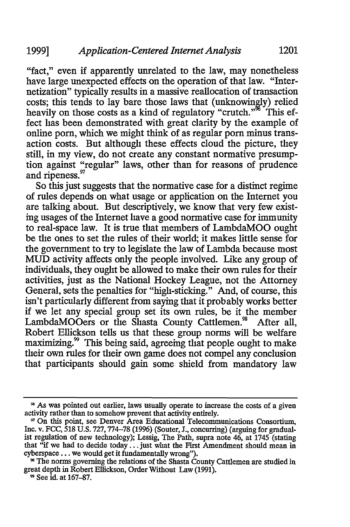"fact," even if apparently unrelated to the law, may nonetheless have large unexpected effects on the operation of that law. "Internetization" typically results in a massive reallocation of transaction costs; this tends to lay bare those laws that (unknowingly) relied heavily on those costs as a kind of regulatory "crutch."<sup>36</sup> This effect has been demonstrated with great clarity by the example of online porn, which we might think of as regular porn minus transaction costs. But although these effects cloud the picture, they still, in my view, do not create any constant normative presumption against "regular" laws, other than for reasons of prudence and ripeness.<sup>97</sup>

So this just suggests that the normative case for a distinct regime of rules depends on what usage or application on the Internet you are talking about. But descriptively, we know that very few existing usages of the Internet have a good normative case for immunity to real-space law. It is true that members of LambdaMOO ought be the ones to set the rules of their world; it makes little sense for the government to try to legislate the law of Lambda because most MUD activity affects only the people involved. Like any group of individuals, they ought be allowed to make their own rules for their activities, just as the National Hockey League, not the Attorney General, sets the penalties for "high-sticking." And, of course, this isn't particularly different from saying that it probably works better if we let any special group set its own rules, be it the member LambdaMOOers or the Shasta County Cattlemen.<sup>98</sup> After all, Robert Ellickson tells us that these group norms will be welfare maximizing.<sup>99</sup> This being said, agreeing that people ought to make their own rules for their own game does not compel any conclusion that participants should gain some shield from mandatory law

As was pointed out earlier, laws usually operate to increase the costs of a given activity rather than to somehow prevent that activity entirely.

**<sup>1</sup>** On this point, see Denver Area Educational Telecommunications Consortium, Inc. v. FCC, 518 U.S. 727,774-78 (1996) (Souter, J., concurring) (arguing for gradualist regulation of new technology); Lessig, The Path, supra note 46, at 1745 (stating that "if we had to decide today **...** just what the First Amendment should mean in cyberspace... we would get it fundamentally wrong").

**<sup>1</sup>** The norms governing the relations of the Shasta County Cattlemen are studied in great depth in Robert Ellickson, Order Without Law (1991).

**<sup>19</sup>** See id. at 167-87.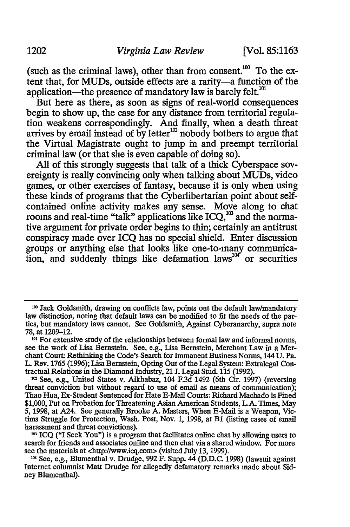(such as the criminal laws), other than from consent.<sup>100</sup> To the extent that, for MUDs, outside effects are a rarity-a function of the application—the presence of mandatory law is barely felt.<sup>101</sup>

But here as there, as soon as signs of real-world consequences begin to show up, the case for any distance from territorial regulation weakens correspondingly. And finally, when a death threat arrives by email instead of by letter $102$  nobody bothers to argue that the Virtual Magistrate ought to jump in and preempt territorial criminal law (or that she is even capable of doing so).

All of this strongly suggests that talk of a thick Cyberspace sovereignty is really convincing only when talking about MUDs, video games, or other exercises of fantasy, because it is only when using these kinds of programs that the Cyberlibertarian point about selfcontained online activity makes any sense. Move along to chat rooms and real-time "talk" applications like  $\text{ICQ}$ ,  $\text{^{103}}$  and the normative argument for private order begins to thin; certainly an antitrust conspiracy made over ICQ has no special shield. Enter discussion groups or anything else that looks like one-to-many communication, and suddenly things like defamation laws<sup>104</sup> or securities

<sup>&</sup>lt;sup>100</sup> Jack Goldsmith, drawing on conflicts law, points out the default law/mandatory law distinction, noting that default laws can be modified to fit the needs of the parties, but mandatory laws cannot. See Goldsmith, Against Cyberanarchy, supra note 78, at 1209-12.

<sup>&</sup>lt;sup>101</sup> For extensive study of the relationships between formal law and informal norms, see the work of Lisa Bernstein. See, e.g., Lisa Bernstein, Merchant Law in a Merchant Court: Rethinking the Code's Search for Immanent Business Norms, 144 U. Pa. L. Rev. 1765 (1996); Lisa Bernstein, Opting Out of the Legal System: Extralegal Contractual Relations in the Diamond Industry, 21 J. Legal Stud. 115 (1992).

**<sup>102</sup>** See, e.g., United States v. Alkhabaz, 104 F.3d 1492 (6th Cir. 1997) (reversing threat conviction but without regard to use of email as means of communication); Thao Hua, Ex-Student Sentenced for Hate E-Mail Courts: Richard Machado is Fined \$1,000, Put on Probation for Threatening Asian American Students, L.A. Times, May 5, 1998, at A24. See generally Brooke A. Masters, When E-Mail is a Weapon, Victims Struggle for Protection, Wash. Post, Nov. 1, 1998, at BI (listing cases of email harassment and threat convictions).

<sup>&</sup>lt;sup>103</sup> ICQ ("I Seek You") is a program that facilitates online chat by allowing users to search for friends and associates online and then chat via a shared window. For more see the materials at <http://www.icq.com> (visited July **13,** 1999).

<sup>104</sup>See, e.g., Blumenthal v. Drudge, 992 F. Supp. 44 (D.D.C. 1998) (lawsuit against Internet columnist Matt Drudge for allegedly defamatory remarks made about Sidney Blumenthal).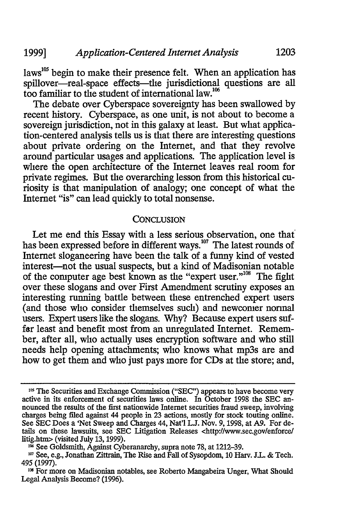laws<sup>105</sup> begin to make their presence felt. When an application has spillover-real-space effects-the jurisdictional questions are all too familiar to the student of international law. $10^{10}$ 

The debate over Cyberspace sovereignty has been swallowed by recent history. Cyberspace, as one unit, is not about to become a sovereign jurisdiction, not in this galaxy at least. But what application-centered analysis tells us is that there are interesting questions about private ordering on the Internet, and that they revolve around particular usages and applications. The application level is where the open architecture of the Internet leaves real room for private regimes. But the overarching lesson from this historical curiosity is that manipulation of analogy; one concept of what the Internet "is" can lead quickly to total nonsense.

#### CONCLUSION

Let me end this Essay with a less serious observation, one that has been expressed before in different ways.<sup>107</sup> The latest rounds of Internet sloganeering have been the talk of a funny kind of vested interest-not the usual suspects, but a kind of Madisonian notable of the computer age best known as the "expert user."<sup>108</sup> The fight over these slogans and over First Amendment scrutiny exposes an interesting running battle between these entrenched expert users (and those who consider themselves such) and newcomer normal users. Expert users like the slogans. Why? Because expert users suffer least and benefit most from an unregulated Internet. Remember, after all, who actually uses encryption software and who still needs help opening attachments; who knows what mp3s are and how to get them and who just pays more for CDs at the store; and,

**I <sup>05</sup>**The Securities and Exchange Commission ("SEC") appears to have become very active in its enforcement of securities laws online. In October 1998 the SEC announced the results of the first nationwide Internet securities fraud sweep, involving charges being filed against 44 people in 23 actions, mostly for stock touting online. See SEC Does a 'Net Sweep and Charges 44, Nat'l **LJ.** Nov. 9, 1998, at A9. For details on these lawsuits, see SEC Litigation Releases <http://www.sec.gov/enforce litig.htm> (visited July 13, 1999).<br><sup>106</sup> See Goldsmith, Against Cyberanarchy, supra note 78, at 1212-39.

**<sup>107</sup>** See, e.g., Jonathan Zittrain, The Rise and Fall of Sysopdom, 10 Harv. J.L. & Tech. 495 (1997).

<sup>&</sup>lt;sup>108</sup> For more on Madisonian notables, see Roberto Mangabeira Unger, What Should Legal Analysis Become? (1996).